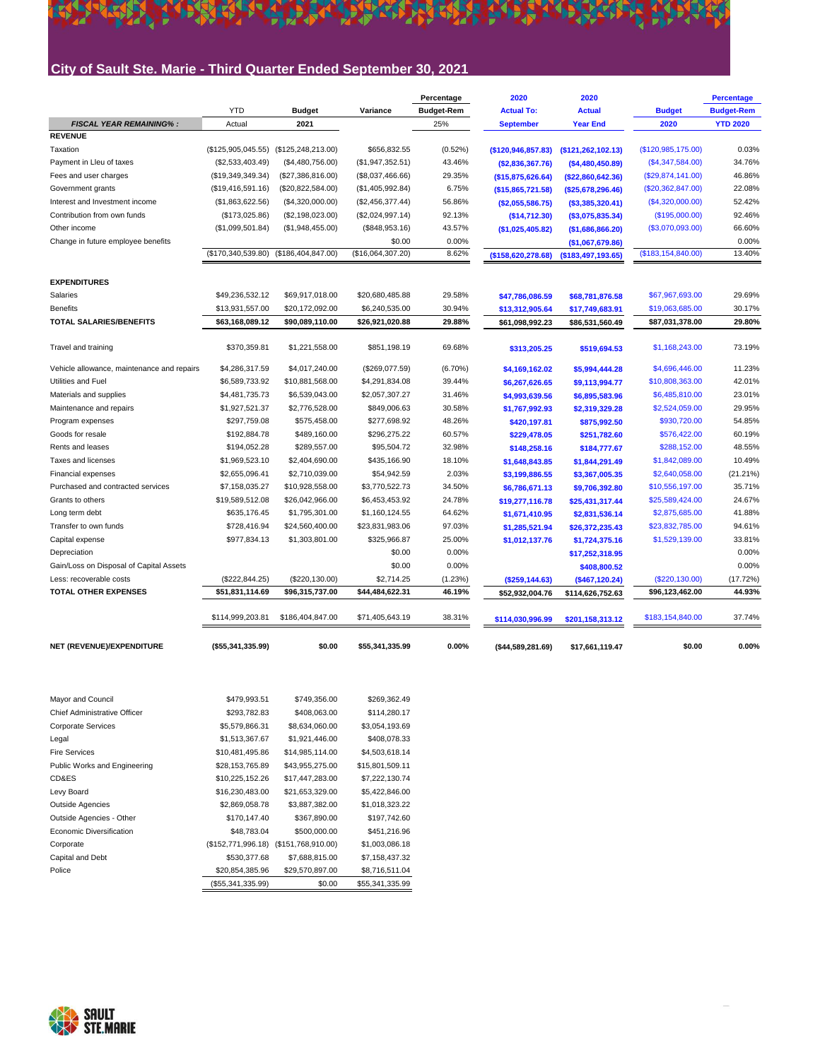#### **City of Sault Ste. Marie - Third Quarter Ended September 30, 2021**

5

ARAN LANGAN C'HLER PARKRISHER EVEL ET NA

**REACH** 

|                                            |                    |                    |                   | Percentage        | 2020                 | 2020                 |                      | <b>Percentage</b> |
|--------------------------------------------|--------------------|--------------------|-------------------|-------------------|----------------------|----------------------|----------------------|-------------------|
|                                            | <b>YTD</b>         | <b>Budget</b>      | Variance          | <b>Budget-Rem</b> | <b>Actual To:</b>    | <b>Actual</b>        | <b>Budget</b>        | <b>Budget-Rem</b> |
| <b>FISCAL YEAR REMAINING%:</b>             | Actual             | 2021               |                   | 25%               | <b>September</b>     | <b>Year End</b>      | 2020                 | <b>YTD 2020</b>   |
| <b>REVENUE</b>                             |                    |                    |                   |                   |                      |                      |                      |                   |
| Taxation                                   | (\$125,905,045.55) | (\$125,248,213.00) | \$656,832.55      | (0.52%)           | (\$120, 946, 857.83) | (\$121, 262, 102.13) | (\$120,985,175.00)   | 0.03%             |
| Payment in Lleu of taxes                   | (\$2,533,403.49)   | (\$4,480,756.00)   | (\$1,947,352.51)  | 43.46%            | (\$2,836,367.76)     | ( \$4,480,450.89)    | (\$4,347,584.00)     | 34.76%            |
| Fees and user charges                      | (\$19,349,349.34)  | (\$27,386,816.00)  | (\$8,037,466.66)  | 29.35%            | (\$15,875,626.64)    | (\$22,860,642.36)    | (\$29,874,141.00)    | 46.86%            |
| Government grants                          | (\$19,416,591.16)  | (\$20,822,584.00)  | (\$1,405,992.84)  | 6.75%             | (\$15,865,721.58)    | (\$25,678,296.46)    | (\$20,362,847.00)    | 22.08%            |
| Interest and Investment income             | (\$1,863,622.56)   | (\$4,320,000.00)   | (\$2,456,377.44)  | 56.86%            | (\$2,055,586.75)     | ( \$3,385,320.41)    | (\$4,320,000.00)     | 52.42%            |
| Contribution from own funds                | (\$173,025.86)     | (\$2,198,023.00)   | (\$2,024,997.14)  | 92.13%            | (\$14,712.30)        | ( \$3,075,835.34)    | (\$195,000.00)       | 92.46%            |
| Other income                               | (\$1,099,501.84)   | (\$1,948,455.00)   | (\$848,953.16)    | 43.57%            | (\$1,025,405.82)     | (\$1,686,866.20)     | (\$3,070,093.00)     | 66.60%            |
| Change in future employee benefits         |                    |                    | \$0.00            | 0.00%             |                      | (\$1,067,679.86)     |                      | 0.00%             |
|                                            | (\$170,340,539.80) | (\$186,404,847.00) | (\$16,064,307.20) | 8.62%             | (\$158,620,278.68)   | (\$183,497,193.65)   | (\$183, 154, 840.00) | 13.40%            |
| <b>EXPENDITURES</b>                        |                    |                    |                   |                   |                      |                      |                      |                   |
| Salaries                                   | \$49,236,532.12    | \$69,917,018.00    | \$20,680,485.88   | 29.58%            | \$47,786,086.59      | \$68,781,876.58      | \$67,967,693.00      | 29.69%            |
| <b>Benefits</b>                            | \$13,931,557.00    | \$20,172,092.00    | \$6,240,535.00    | 30.94%            | \$13,312,905.64      | \$17,749,683.91      | \$19,063,685.00      | 30.17%            |
| <b>TOTAL SALARIES/BENEFITS</b>             | \$63,168,089.12    | \$90,089,110.00    | \$26.921.020.88   | 29.88%            | \$61,098,992.23      | \$86,531,560.49      | \$87,031,378.00      | 29.80%            |
| Travel and training                        | \$370,359.81       | \$1,221,558.00     | \$851,198.19      | 69.68%            | \$313,205.25         | \$519,694.53         | \$1,168,243.00       | 73.19%            |
| Vehicle allowance, maintenance and repairs | \$4,286,317.59     | \$4,017,240.00     | (\$269,077.59)    | $(6.70\%)$        | \$4,169,162.02       | \$5,994,444.28       | \$4,696,446.00       | 11.23%            |
| Utilities and Fuel                         | \$6,589,733.92     | \$10,881,568.00    | \$4,291,834.08    | 39.44%            | \$6,267,626.65       | \$9,113,994.77       | \$10,808,363.00      | 42.01%            |
| Materials and supplies                     | \$4,481,735.73     | \$6,539,043.00     | \$2,057,307.27    | 31.46%            | \$4,993,639.56       | \$6,895,583.96       | \$6,485,810.00       | 23.01%            |
| Maintenance and repairs                    | \$1,927,521.37     | \$2,776,528.00     | \$849,006.63      | 30.58%            | \$1,767,992.93       | \$2,319,329.28       | \$2,524,059.00       | 29.95%            |
| Program expenses                           | \$297,759.08       | \$575,458.00       | \$277,698.92      | 48.26%            | \$420,197.81         | \$875,992.50         | \$930,720.00         | 54.85%            |
| Goods for resale                           | \$192,884.78       | \$489,160.00       | \$296,275.22      | 60.57%            | \$229,478.05         | \$251,782.60         | \$576,422.00         | 60.19%            |
| Rents and leases                           | \$194,052.28       | \$289,557.00       | \$95,504.72       | 32.98%            | \$148,258.16         | \$184,777.67         | \$288,152.00         | 48.55%            |
| Taxes and licenses                         | \$1,969,523.10     | \$2,404,690.00     | \$435,166.90      | 18.10%            | \$1,648,843.85       | \$1,844,291.49       | \$1,842,089.00       | 10.49%            |
| <b>Financial expenses</b>                  | \$2,655,096.41     | \$2,710,039.00     | \$54,942.59       | 2.03%             | \$3,199,886.55       | \$3,367,005.35       | \$2,640,058.00       | $(21.21\%)$       |
| Purchased and contracted services          | \$7,158,035.27     | \$10,928,558.00    | \$3,770,522.73    | 34.50%            | \$6,786,671.13       | \$9,706,392.80       | \$10,556,197.00      | 35.71%            |
| Grants to others                           | \$19,589,512.08    | \$26,042,966.00    | \$6,453,453.92    | 24.78%            | \$19,277,116.78      | \$25,431,317.44      | \$25,589,424.00      | 24.67%            |
| Long term debt                             | \$635.176.45       | \$1,795,301.00     | \$1,160,124.55    | 64.62%            | \$1,671,410.95       | \$2,831,536.14       | \$2,875,685.00       | 41.88%            |
| Transfer to own funds                      | \$728,416.94       | \$24,560,400.00    | \$23,831,983.06   | 97.03%            | \$1,285,521.94       | \$26,372,235.43      | \$23,832,785.00      | 94.61%            |
| Capital expense                            | \$977,834.13       | \$1,303,801.00     | \$325,966.87      | 25.00%            | \$1,012,137.76       | \$1,724,375.16       | \$1,529,139.00       | 33.81%            |
| Depreciation                               |                    |                    | \$0.00            | 0.00%             |                      | \$17,252,318.95      |                      | 0.00%             |
| Gain/Loss on Disposal of Capital Assets    |                    |                    | \$0.00            | 0.00%             |                      | \$408,800.52         |                      | 0.00%             |
| Less: recoverable costs                    | (\$222, 844.25)    | (\$220, 130.00)    | \$2,714.25        | (1.23%)           | (\$259, 144.63)      | (\$467, 120.24)      | (\$220,130.00)       | (17.72%)          |
| <b>TOTAL OTHER EXPENSES</b>                | \$51,831,114.69    | \$96,315,737.00    | \$44,484,622.31   | 46.19%            | \$52,932,004.76      | \$114,626,752.63     | \$96,123,462.00      | 44.93%            |
|                                            | \$114,999,203.81   | \$186,404,847.00   | \$71,405,643.19   | 38.31%            | \$114,030,996.99     | \$201,158,313.12     | \$183,154,840.00     | 37.74%            |
| NET (REVENUE)/EXPENDITURE                  | (\$55,341,335.99)  | \$0.00             | \$55,341,335.99   | 0.00%             | ( \$44,589,281.69)   | \$17,661,119.47      | \$0.00               | 0.00%             |

| \$479,993.51      | \$749,356.00    | \$269,362.49                                             |
|-------------------|-----------------|----------------------------------------------------------|
| \$293,782.83      | \$408,063.00    | \$114,280.17                                             |
| \$5,579,866.31    | \$8,634,060.00  | \$3,054,193.69                                           |
| \$1,513,367.67    | \$1,921,446.00  | \$408,078.33                                             |
| \$10,481,495.86   | \$14,985,114.00 | \$4,503,618.14                                           |
| \$28,153,765.89   | \$43,955,275.00 | \$15,801,509.11                                          |
| \$10,225,152.26   | \$17,447,283.00 | \$7,222,130.74                                           |
| \$16,230,483.00   | \$21,653,329.00 | \$5,422,846.00                                           |
| \$2,869,058.78    | \$3,887,382.00  | \$1,018,323.22                                           |
| \$170,147.40      | \$367,890.00    | \$197,742.60                                             |
| \$48,783.04       | \$500,000.00    | \$451,216.96                                             |
|                   |                 | \$1,003,086.18                                           |
| \$530,377.68      | \$7,688,815.00  | \$7,158,437.32                                           |
|                   | \$29,570,897.00 | \$8,716,511.04                                           |
| (\$55,341,335.99) | \$0.00          | \$55,341,335.99                                          |
|                   |                 | (\$152,771,996.18) (\$151,768,910.00)<br>\$20,854,385.96 |

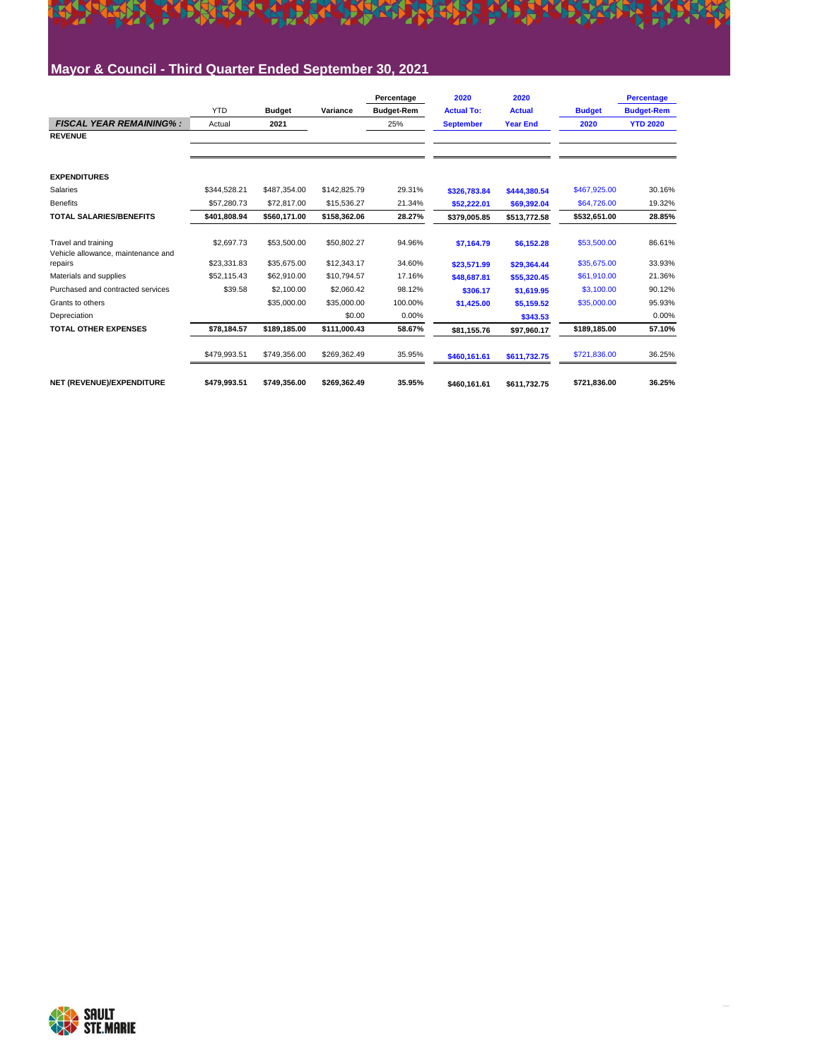

#### **Mayor & Council - Third Quarter Ended September 30, 2021**

|                                               |              |               |              | Percentage        | 2020              | 2020            |               | <b>Percentage</b> |
|-----------------------------------------------|--------------|---------------|--------------|-------------------|-------------------|-----------------|---------------|-------------------|
|                                               | <b>YTD</b>   | <b>Budget</b> | Variance     | <b>Budget-Rem</b> | <b>Actual To:</b> | <b>Actual</b>   | <b>Budget</b> | <b>Budget-Rem</b> |
| <b>FISCAL YEAR REMAINING%:</b>                | Actual       | 2021          |              | 25%               | <b>September</b>  | <b>Year End</b> | 2020          | <b>YTD 2020</b>   |
| <b>REVENUE</b>                                |              |               |              |                   |                   |                 |               |                   |
|                                               |              |               |              |                   |                   |                 |               |                   |
| <b>EXPENDITURES</b>                           |              |               |              |                   |                   |                 |               |                   |
| Salaries                                      | \$344.528.21 | \$487,354.00  | \$142,825.79 | 29.31%            | \$326.783.84      | \$444.380.54    | \$467,925.00  | 30.16%            |
| <b>Benefits</b>                               | \$57,280.73  | \$72,817.00   | \$15,536.27  | 21.34%            | \$52,222.01       | \$69,392.04     | \$64,726.00   | 19.32%            |
| <b>TOTAL SALARIES/BENEFITS</b>                | \$401.808.94 | \$560.171.00  | \$158,362.06 | 28.27%            | \$379.005.85      | \$513.772.58    | \$532,651.00  | 28.85%            |
| Travel and training                           | \$2,697.73   | \$53,500.00   | \$50,802.27  | 94.96%            | \$7.164.79        | \$6,152.28      | \$53,500.00   | 86.61%            |
| Vehicle allowance, maintenance and<br>repairs | \$23.331.83  | \$35,675.00   | \$12,343.17  | 34.60%            | \$23.571.99       | \$29.364.44     | \$35,675.00   | 33.93%            |
| Materials and supplies                        | \$52.115.43  | \$62,910.00   | \$10,794.57  | 17.16%            | \$48,687.81       | \$55,320.45     | \$61,910.00   | 21.36%            |
| Purchased and contracted services             | \$39.58      | \$2,100.00    | \$2,060.42   | 98.12%            | \$306.17          | \$1,619.95      | \$3,100.00    | 90.12%            |
| Grants to others                              |              | \$35,000.00   | \$35,000.00  | 100.00%           | \$1,425.00        | \$5.159.52      | \$35,000.00   | 95.93%            |
| Depreciation                                  |              |               | \$0.00       | 0.00%             |                   | \$343.53        |               | 0.00%             |
| <b>TOTAL OTHER EXPENSES</b>                   | \$78,184.57  | \$189,185.00  | \$111,000.43 | 58.67%            | \$81,155.76       | \$97,960.17     | \$189,185.00  | 57.10%            |
|                                               | \$479,993.51 | \$749,356.00  | \$269,362.49 | 35.95%            | \$460,161.61      | \$611,732.75    | \$721,836.00  | 36.25%            |
| NET (REVENUE)/EXPENDITURE                     | \$479.993.51 | \$749.356.00  | \$269.362.49 | 35.95%            | \$460.161.61      | \$611,732.75    | \$721.836.00  | 36.25%            |

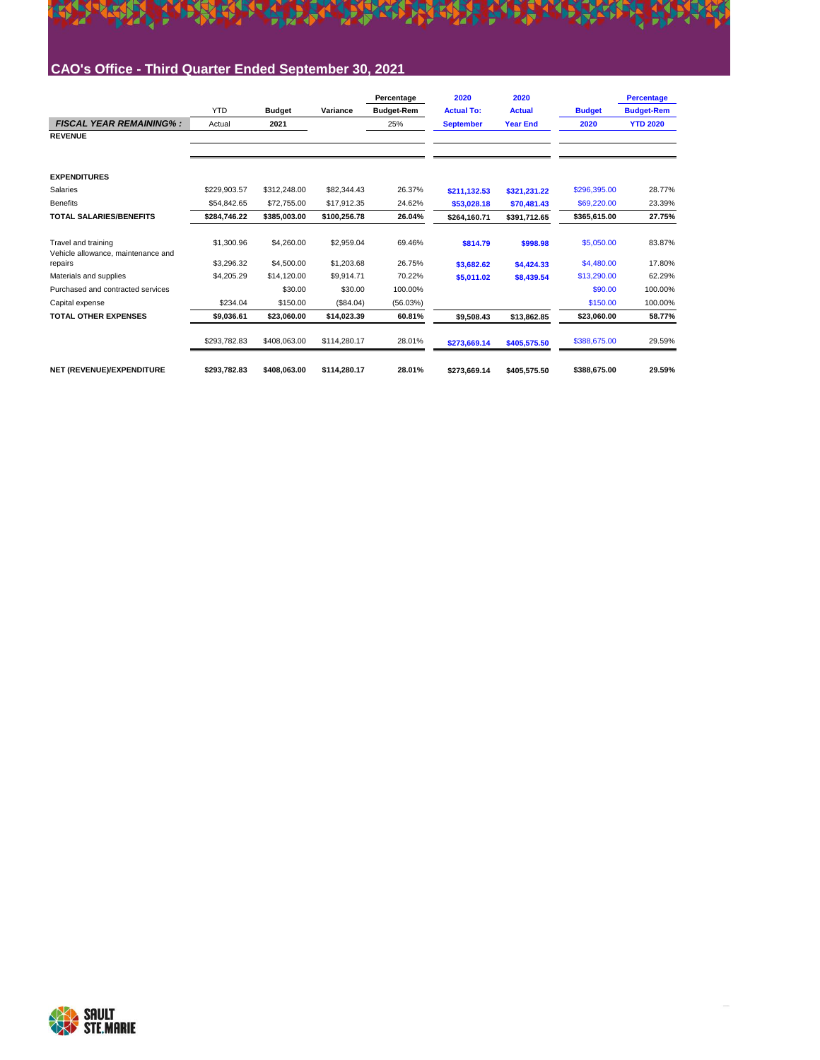

#### **CAO's Office - Third Quarter Ended September 30, 2021**

|                                                           |              |               |              | Percentage        | 2020              | 2020            |               | <b>Percentage</b> |
|-----------------------------------------------------------|--------------|---------------|--------------|-------------------|-------------------|-----------------|---------------|-------------------|
|                                                           | <b>YTD</b>   | <b>Budget</b> | Variance     | <b>Budget-Rem</b> | <b>Actual To:</b> | <b>Actual</b>   | <b>Budget</b> | <b>Budget-Rem</b> |
| <b>FISCAL YEAR REMAINING%:</b>                            | Actual       | 2021          |              | 25%               | <b>September</b>  | <b>Year End</b> | 2020          | <b>YTD 2020</b>   |
| <b>REVENUE</b>                                            |              |               |              |                   |                   |                 |               |                   |
|                                                           |              |               |              |                   |                   |                 |               |                   |
| <b>EXPENDITURES</b>                                       |              |               |              |                   |                   |                 |               |                   |
| Salaries                                                  | \$229.903.57 | \$312,248.00  | \$82,344.43  | 26.37%            | \$211.132.53      | \$321.231.22    | \$296,395.00  | 28.77%            |
| <b>Benefits</b>                                           | \$54.842.65  | \$72,755.00   | \$17.912.35  | 24.62%            | \$53.028.18       | \$70,481.43     | \$69,220.00   | 23.39%            |
| <b>TOTAL SALARIES/BENEFITS</b>                            | \$284.746.22 | \$385.003.00  | \$100.256.78 | 26.04%            | \$264.160.71      | \$391.712.65    | \$365.615.00  | 27.75%            |
| Travel and training<br>Vehicle allowance, maintenance and | \$1,300.96   | \$4,260.00    | \$2,959.04   | 69.46%            | \$814.79          | \$998.98        | \$5,050.00    | 83.87%            |
| repairs                                                   | \$3,296.32   | \$4,500.00    | \$1,203.68   | 26.75%            | \$3,682.62        | \$4,424.33      | \$4,480.00    | 17.80%            |
| Materials and supplies                                    | \$4,205.29   | \$14,120.00   | \$9,914.71   | 70.22%            | \$5,011.02        | \$8,439.54      | \$13,290.00   | 62.29%            |
| Purchased and contracted services                         |              | \$30.00       | \$30.00      | 100.00%           |                   |                 | \$90.00       | 100.00%           |
| Capital expense                                           | \$234.04     | \$150.00      | (\$84.04)    | (56.03%)          |                   |                 | \$150.00      | 100.00%           |
| <b>TOTAL OTHER EXPENSES</b>                               | \$9,036.61   | \$23,060.00   | \$14,023.39  | 60.81%            | \$9,508.43        | \$13,862.85     | \$23,060.00   | 58.77%            |
|                                                           | \$293,782.83 | \$408.063.00  | \$114,280.17 | 28.01%            | \$273,669.14      | \$405,575.50    | \$388,675.00  | 29.59%            |
| NET (REVENUE)/EXPENDITURE                                 | \$293,782.83 | \$408.063.00  | \$114,280.17 | 28.01%            | \$273.669.14      | \$405,575.50    | \$388.675.00  | 29.59%            |

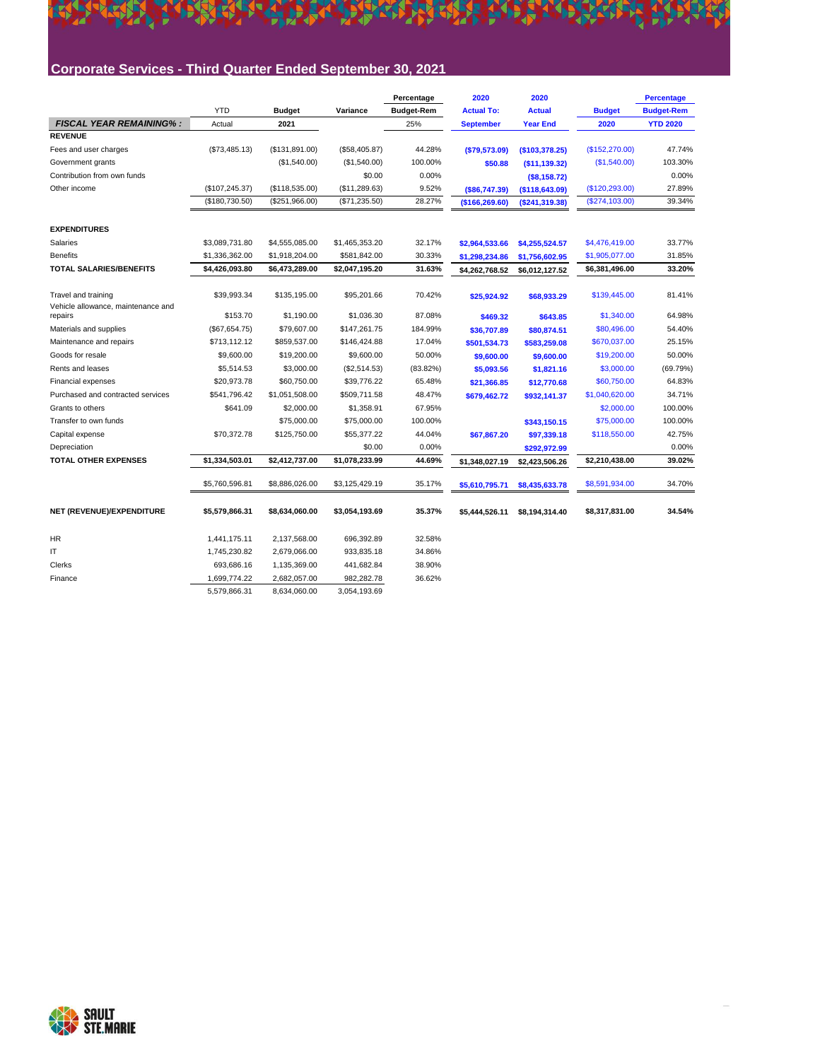### **Corporate Services - Third Quarter Ended September 30, 2021**

K

|                                               |                 |                |                | Percentage        | 2020              | 2020             |                 | <b>Percentage</b> |
|-----------------------------------------------|-----------------|----------------|----------------|-------------------|-------------------|------------------|-----------------|-------------------|
|                                               | <b>YTD</b>      | <b>Budget</b>  | Variance       | <b>Budget-Rem</b> | <b>Actual To:</b> | <b>Actual</b>    | <b>Budget</b>   | <b>Budget-Rem</b> |
| <b>FISCAL YEAR REMAINING%:</b>                | Actual          | 2021           |                | 25%               | <b>September</b>  | <b>Year End</b>  | 2020            | <b>YTD 2020</b>   |
| <b>REVENUE</b>                                |                 |                |                |                   |                   |                  |                 |                   |
| Fees and user charges                         | (\$73,485.13)   | (\$131,891.00) | (\$58,405.87)  | 44.28%            | ( \$79,573.09)    | (\$103,378.25)   | (\$152,270.00)  | 47.74%            |
| Government grants                             |                 | (\$1,540.00)   | (\$1,540.00)   | 100.00%           | \$50.88           | (\$11,139.32)    | (S1, 540.00)    | 103.30%           |
| Contribution from own funds                   |                 |                | \$0.00         | 0.00%             |                   | (S8, 158.72)     |                 | 0.00%             |
| Other income                                  | (\$107, 245.37) | (\$118,535.00) | (\$11,289.63)  | 9.52%             | ( \$86, 747.39)   | (\$118,643.09)   | (\$120, 293.00) | 27.89%            |
|                                               | (\$180,730.50)  | (\$251,966.00) | (\$71,235.50)  | 28.27%            | (\$166, 269.60)   | ( \$241, 319.38) | (S274, 103.00)  | 39.34%            |
| <b>EXPENDITURES</b>                           |                 |                |                |                   |                   |                  |                 |                   |
| Salaries                                      | \$3.089.731.80  | \$4,555,085.00 | \$1,465,353.20 | 32.17%            | \$2,964,533.66    | \$4,255,524.57   | \$4,476,419.00  | 33.77%            |
| <b>Benefits</b>                               | \$1,336,362.00  | \$1,918,204.00 | \$581,842.00   | 30.33%            | \$1,298,234.86    | \$1,756,602.95   | \$1,905,077.00  | 31.85%            |
| <b>TOTAL SALARIES/BENEFITS</b>                | \$4,426,093.80  | \$6,473,289.00 | \$2,047,195.20 | 31.63%            | \$4,262,768.52    | \$6.012.127.52   | \$6,381,496.00  | 33.20%            |
|                                               |                 |                |                |                   |                   |                  |                 |                   |
| Travel and training                           | \$39.993.34     | \$135,195.00   | \$95,201.66    | 70.42%            | \$25,924.92       | \$68,933.29      | \$139,445.00    | 81.41%            |
| Vehicle allowance, maintenance and<br>repairs | \$153.70        | \$1,190.00     | \$1,036.30     | 87.08%            | \$469.32          | \$643.85         | \$1,340.00      | 64.98%            |
| Materials and supplies                        | (\$67,654.75)   | \$79,607.00    | \$147,261.75   | 184.99%           | \$36,707.89       | \$80,874.51      | \$80,496.00     | 54.40%            |
| Maintenance and repairs                       | \$713,112.12    | \$859,537.00   | \$146,424.88   | 17.04%            | \$501,534.73      | \$583,259.08     | \$670,037.00    | 25.15%            |
| Goods for resale                              | \$9,600.00      | \$19,200.00    | \$9,600.00     | 50.00%            | \$9,600.00        | \$9,600.00       | \$19,200.00     | 50.00%            |
| Rents and leases                              | \$5,514.53      | \$3,000.00     | (\$2,514.53)   | $(83.82\%)$       | \$5,093.56        | \$1,821.16       | \$3,000.00      | (69.79%)          |
| <b>Financial expenses</b>                     | \$20,973.78     | \$60,750.00    | \$39,776.22    | 65.48%            | \$21,366.85       | \$12,770.68      | \$60,750.00     | 64.83%            |
| Purchased and contracted services             | \$541,796.42    | \$1,051,508.00 | \$509,711.58   | 48.47%            | \$679,462.72      | \$932,141.37     | \$1,040,620.00  | 34.71%            |
| Grants to others                              | \$641.09        | \$2,000.00     | \$1,358.91     | 67.95%            |                   |                  | \$2,000.00      | 100.00%           |
| Transfer to own funds                         |                 | \$75,000.00    | \$75,000.00    | 100.00%           |                   | \$343,150.15     | \$75,000.00     | 100.00%           |
| Capital expense                               | \$70,372.78     | \$125,750.00   | \$55,377.22    | 44.04%            | \$67,867.20       | \$97,339.18      | \$118,550.00    | 42.75%            |
| Depreciation                                  |                 |                | \$0.00         | 0.00%             |                   | \$292,972.99     |                 | 0.00%             |
| <b>TOTAL OTHER EXPENSES</b>                   | \$1.334.503.01  | \$2,412,737.00 | \$1,078,233.99 | 44.69%            | \$1,348,027.19    | \$2,423,506.26   | \$2.210.438.00  | 39.02%            |
|                                               |                 |                |                |                   |                   |                  |                 |                   |
|                                               | \$5,760,596.81  | \$8,886,026.00 | \$3,125,429.19 | 35.17%            | \$5,610,795.71    | \$8,435,633.78   | \$8,591,934.00  | 34.70%            |
| NET (REVENUE)/EXPENDITURE                     | \$5,579,866.31  | \$8,634,060.00 | \$3,054,193.69 | 35.37%            | \$5,444,526.11    | \$8,194,314.40   | \$8,317,831.00  | 34.54%            |
|                                               |                 |                |                |                   |                   |                  |                 |                   |
| HR                                            | 1,441,175.11    | 2,137,568.00   | 696,392.89     | 32.58%            |                   |                  |                 |                   |
| IT                                            | 1,745,230.82    | 2,679,066.00   | 933,835.18     | 34.86%            |                   |                  |                 |                   |
| Clerks                                        | 693,686.16      | 1,135,369.00   | 441,682.84     | 38.90%            |                   |                  |                 |                   |
| Finance                                       | 1,699,774.22    | 2,682,057.00   | 982,282.78     | 36.62%            |                   |                  |                 |                   |
|                                               | 5,579,866.31    | 8,634,060.00   | 3,054,193.69   |                   |                   |                  |                 |                   |

A TERMINAL TERMINAL PROPERTY AND TERMINAL CONTRA

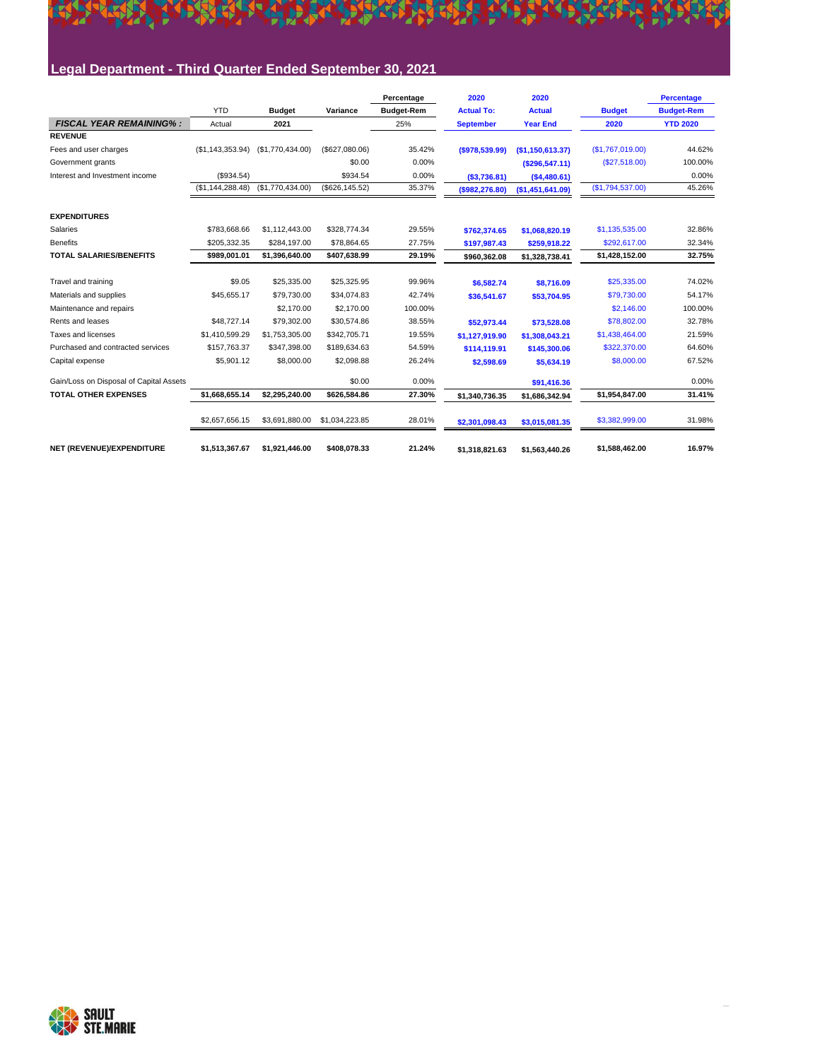#### <u> Eile er alt ein biskur beste er burgen übere</u> KY,

#### **Legal Department - Third Quarter Ended September 30, 2021**

|                                         |                  |                  |                 | Percentage        | 2020              | 2020             |                  | <b>Percentage</b> |
|-----------------------------------------|------------------|------------------|-----------------|-------------------|-------------------|------------------|------------------|-------------------|
|                                         | <b>YTD</b>       | <b>Budget</b>    | Variance        | <b>Budget-Rem</b> | <b>Actual To:</b> | <b>Actual</b>    | <b>Budget</b>    | <b>Budget-Rem</b> |
| <b>FISCAL YEAR REMAINING%:</b>          | Actual           | 2021             |                 | 25%               | <b>September</b>  | <b>Year End</b>  | 2020             | <b>YTD 2020</b>   |
| <b>REVENUE</b>                          |                  |                  |                 |                   |                   |                  |                  |                   |
| Fees and user charges                   | (\$1,143,353.94) | (\$1,770,434.00) | (\$627,080.06)  | 35.42%            | (\$978,539.99)    | (\$1,150,613.37) | (\$1,767,019.00) | 44.62%            |
| Government grants                       |                  |                  | \$0.00          | 0.00%             |                   | ( \$296, 547.11) | (S27, 518.00)    | 100.00%           |
| Interest and Investment income          | (\$934.54)       |                  | \$934.54        | 0.00%             | ( \$3,736.81)     | (\$4,480.61)     |                  | 0.00%             |
|                                         | (\$1,144,288.48) | (\$1,770,434.00) | (\$626, 145.52) | 35.37%            | $($ \$982,276.80) | (\$1,451,641.09) | (S1,794,537.00)  | 45.26%            |
| <b>EXPENDITURES</b>                     |                  |                  |                 |                   |                   |                  |                  |                   |
| Salaries                                | \$783,668.66     | \$1,112,443.00   | \$328,774.34    | 29.55%            | \$762,374.65      | \$1,068,820.19   | \$1,135,535.00   | 32.86%            |
| <b>Benefits</b>                         | \$205.332.35     | \$284.197.00     | \$78.864.65     | 27.75%            | \$197,987.43      | \$259,918.22     | \$292.617.00     | 32.34%            |
| <b>TOTAL SALARIES/BENEFITS</b>          | \$989,001.01     | \$1,396,640.00   | \$407,638.99    | 29.19%            | \$960,362.08      | \$1,328,738.41   | \$1,428,152.00   | 32.75%            |
| Travel and training                     | \$9.05           | \$25,335.00      | \$25,325.95     | 99.96%            | \$6,582.74        | \$8.716.09       | \$25,335.00      | 74.02%            |
| Materials and supplies                  | \$45,655.17      | \$79,730.00      | \$34,074.83     | 42.74%            | \$36,541.67       | \$53,704.95      | \$79,730.00      | 54.17%            |
| Maintenance and repairs                 |                  | \$2,170.00       | \$2,170.00      | 100.00%           |                   |                  | \$2,146.00       | 100.00%           |
| Rents and leases                        | \$48,727.14      | \$79,302.00      | \$30,574.86     | 38.55%            | \$52.973.44       | \$73,528.08      | \$78,802.00      | 32.78%            |
| Taxes and licenses                      | \$1,410,599.29   | \$1.753.305.00   | \$342.705.71    | 19.55%            | \$1,127,919.90    | \$1.308.043.21   | \$1,438,464.00   | 21.59%            |
| Purchased and contracted services       | \$157.763.37     | \$347,398.00     | \$189,634.63    | 54.59%            | \$114.119.91      | \$145,300.06     | \$322,370.00     | 64.60%            |
| Capital expense                         | \$5,901.12       | \$8,000.00       | \$2.098.88      | 26.24%            | \$2,598.69        | \$5,634.19       | \$8,000.00       | 67.52%            |
| Gain/Loss on Disposal of Capital Assets |                  |                  | \$0.00          | 0.00%             |                   | \$91,416.36      |                  | 0.00%             |
| <b>TOTAL OTHER EXPENSES</b>             | \$1.668.655.14   | \$2.295.240.00   | \$626,584.86    | 27.30%            | \$1,340,736.35    | \$1,686,342.94   | \$1,954,847.00   | 31.41%            |
|                                         | \$2,657,656.15   | \$3,691,880.00   | \$1,034,223.85  | 28.01%            | \$2,301,098.43    | \$3,015,081.35   | \$3,382,999.00   | 31.98%            |
| NET (REVENUE)/EXPENDITURE               | \$1,513,367.67   | \$1,921,446.00   | \$408,078.33    | 21.24%            | \$1.318.821.63    | \$1,563,440.26   | \$1,588,462.00   | 16.97%            |

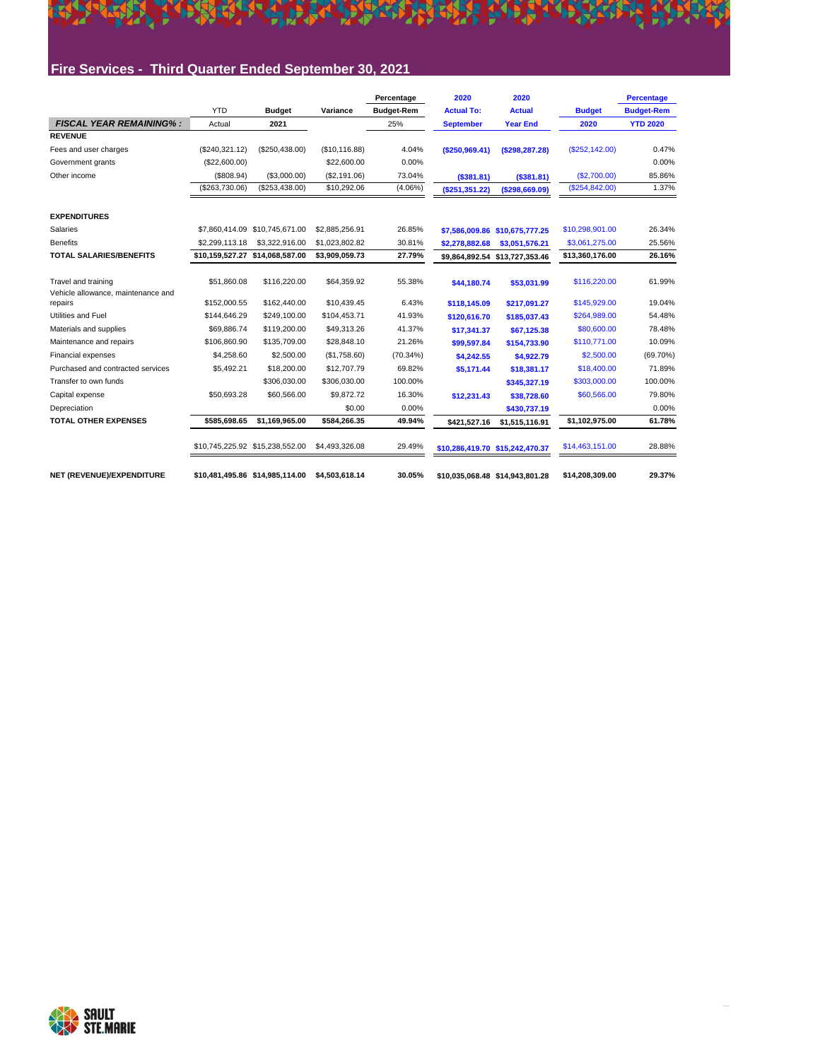

#### **Fire Services - Third Quarter Ended September 30, 2021**

|                                                           |                   |                                 |                | Percentage        | 2020              | 2020                            |                 | <b>Percentage</b> |
|-----------------------------------------------------------|-------------------|---------------------------------|----------------|-------------------|-------------------|---------------------------------|-----------------|-------------------|
|                                                           | <b>YTD</b>        | <b>Budget</b>                   | Variance       | <b>Budget-Rem</b> | <b>Actual To:</b> | <b>Actual</b>                   | <b>Budget</b>   | <b>Budget-Rem</b> |
| <b>FISCAL YEAR REMAINING%:</b>                            | Actual            | 2021                            |                | 25%               | <b>September</b>  | <b>Year End</b>                 | 2020            | <b>YTD 2020</b>   |
| <b>REVENUE</b>                                            |                   |                                 |                |                   |                   |                                 |                 |                   |
| Fees and user charges                                     | (\$240,321.12)    | (\$250,438.00)                  | (\$10, 116.88) | 4.04%             | (S250.969.41)     | (\$298, 287.28)                 | (S252, 142.00)  | 0.47%             |
| Government grants                                         | (\$22,600.00)     |                                 | \$22,600.00    | 0.00%             |                   |                                 |                 | 0.00%             |
| Other income                                              | (\$808.94)        | (\$3,000.00)                    | (\$2,191.06)   | 73.04%            | ( \$381.81)       | ( \$381.81)                     | (\$2,700.00)    | 85.86%            |
|                                                           | $($ \$263,730.06) | (\$253,438.00)                  | \$10,292.06    | $(4.06\%)$        | (S251, 351.22)    | ( \$298, 669.09)                | (\$254,842.00)  | 1.37%             |
| <b>EXPENDITURES</b>                                       |                   |                                 |                |                   |                   |                                 |                 |                   |
| Salaries                                                  | \$7,860,414.09    | \$10.745.671.00                 | \$2,885,256.91 | 26.85%            |                   | \$7,586,009.86 \$10,675,777.25  | \$10,298,901.00 | 26.34%            |
| <b>Benefits</b>                                           | \$2,299,113,18    | \$3.322.916.00                  | \$1.023.802.82 | 30.81%            | \$2,278,882.68    | \$3,051,576.21                  | \$3.061.275.00  | 25.56%            |
| <b>TOTAL SALARIES/BENEFITS</b>                            | \$10,159,527.27   | \$14,068,587.00                 | \$3,909,059.73 | 27.79%            | \$9,864,892.54    | \$13,727,353.46                 | \$13,360,176.00 | 26.16%            |
| Travel and training<br>Vehicle allowance, maintenance and | \$51.860.08       | \$116,220.00                    | \$64,359.92    | 55.38%            | \$44,180.74       | \$53,031.99                     | \$116,220.00    | 61.99%            |
| repairs                                                   | \$152,000.55      | \$162,440.00                    | \$10,439.45    | 6.43%             | \$118.145.09      | \$217.091.27                    | \$145,929.00    | 19.04%            |
| Utilities and Fuel                                        | \$144,646.29      | \$249.100.00                    | \$104,453.71   | 41.93%            | \$120,616.70      | \$185,037.43                    | \$264,989.00    | 54.48%            |
| Materials and supplies                                    | \$69.886.74       | \$119,200.00                    | \$49.313.26    | 41.37%            | \$17.341.37       | \$67.125.38                     | \$80,600.00     | 78.48%            |
| Maintenance and repairs                                   | \$106,860.90      | \$135,709.00                    | \$28,848.10    | 21.26%            | \$99,597.84       | \$154,733.90                    | \$110,771.00    | 10.09%            |
| Financial expenses                                        | \$4,258.60        | \$2,500.00                      | (\$1,758.60)   | (70.34%)          | \$4,242.55        | \$4,922.79                      | \$2,500.00      | $(69.70\%)$       |
| Purchased and contracted services                         | \$5,492.21        | \$18,200.00                     | \$12,707.79    | 69.82%            | \$5,171.44        | \$18.381.17                     | \$18,400.00     | 71.89%            |
| Transfer to own funds                                     |                   | \$306.030.00                    | \$306.030.00   | 100.00%           |                   | \$345.327.19                    | \$303,000.00    | 100.00%           |
| Capital expense                                           | \$50,693.28       | \$60,566.00                     | \$9,872.72     | 16.30%            | \$12,231.43       | \$38,728.60                     | \$60,566.00     | 79.80%            |
| Depreciation                                              |                   |                                 | \$0.00         | 0.00%             |                   | \$430,737.19                    |                 | 0.00%             |
| <b>TOTAL OTHER EXPENSES</b>                               | \$585.698.65      | \$1.169.965.00                  | \$584.266.35   | 49.94%            | \$421.527.16      | \$1,515,116.91                  | \$1,102,975.00  | 61.78%            |
|                                                           |                   |                                 | \$4,493,326.08 | 29.49%            |                   | \$10,286,419.70 \$15,242,470.37 | \$14,463,151.00 | 28.88%            |
| NET (REVENUE)/EXPENDITURE                                 |                   | \$10,481,495.86 \$14,985,114.00 | \$4,503,618.14 | 30.05%            |                   | \$10.035.068.48 \$14.943.801.28 | \$14,208,309.00 | 29.37%            |

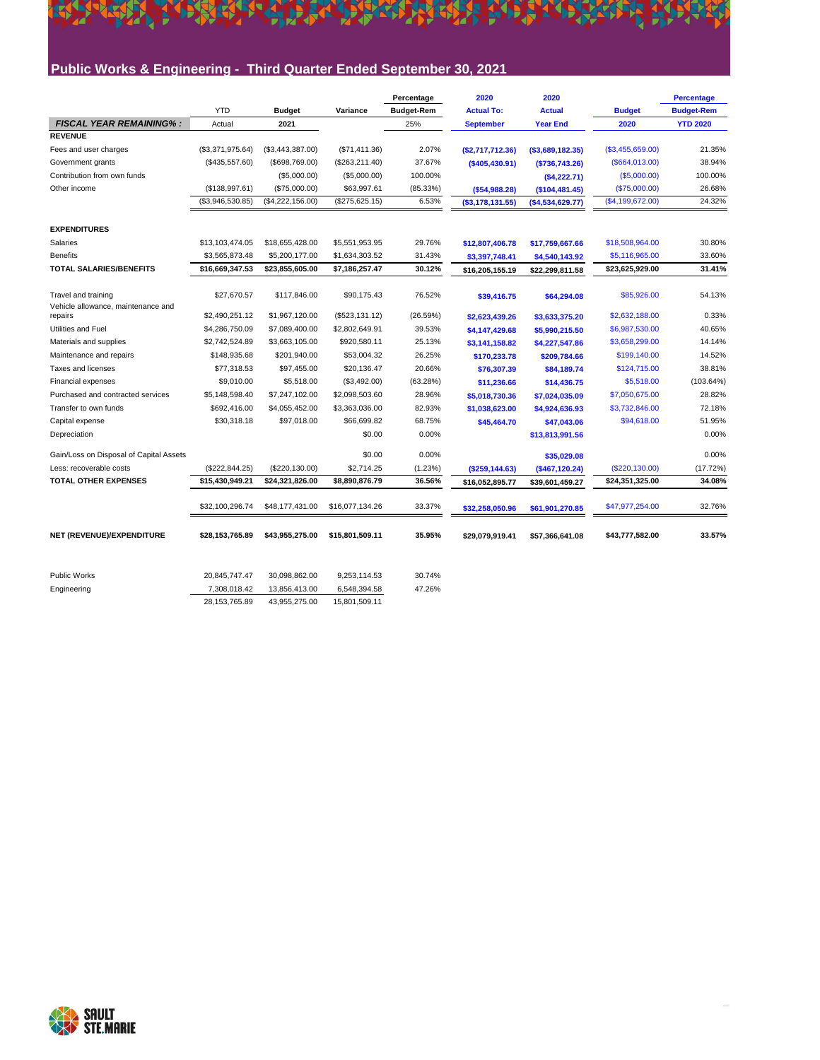#### **Public Works & Engineering - Third Quarter Ended September 30, 2021**

\*\*\*\*\*\*\*\*\*\*\*\*\*\*\*\*\*\*\*\*\*\*\*\*\*\*\*\*\*\*\*\*\*\*\*\*

| <b>YTD</b><br><b>Budget</b><br><b>Budget</b><br>Variance<br><b>Budget-Rem</b><br><b>Actual To:</b><br><b>Actual</b><br><b>Budget-Rem</b><br><b>FISCAL YEAR REMAINING%:</b><br>2021<br>25%<br>2020<br><b>YTD 2020</b><br>Actual<br><b>September</b><br><b>Year End</b><br><b>REVENUE</b><br>(\$3,371,975.64)<br>(\$3,443,387.00)<br>(\$71,411.36)<br>2.07%<br>(\$3,455,659.00)<br>21.35%<br>Fees and user charges<br>(S2,717,712.36)<br>$($ \$3,689,182.35)<br>37.67%<br>38.94%<br>Government grants<br>(\$435,557.60)<br>(\$664,013.00)<br>(\$698,769.00)<br>(\$263,211.40)<br>(\$405,430.91)<br>( \$736, 743.26)<br>Contribution from own funds<br>(\$5,000.00)<br>(\$5,000.00)<br>100.00%<br>(\$5,000.00)<br>(S4, 222.71)<br>(\$138,997.61)<br>(\$75,000.00)<br>\$63,997.61<br>(85.33%)<br>(\$75,000.00)<br>26.68%<br>Other income<br>(\$54,988.28)<br>(\$104,481.45)<br>(\$4,222,156.00)<br>6.53%<br>(\$3,946,530.85)<br>(\$275,625.15)<br>(\$4,199,672.00)<br>( \$3,178,131.55)<br>( \$4,534,629.77)<br><b>EXPENDITURES</b><br>Salaries<br>\$13,103,474.05<br>\$18,655,428.00<br>\$5,551,953.95<br>29.76%<br>\$18,508,964.00<br>30.80%<br>\$12,807,406.78<br>\$17,759,667.66<br><b>Benefits</b><br>31.43%<br>33.60%<br>\$3,565,873.48<br>\$5,200,177.00<br>\$1,634,303.52<br>\$5,116,965.00<br>\$3,397,748.41<br>\$4,540,143.92<br><b>TOTAL SALARIES/BENEFITS</b><br>\$16,669,347.53<br>30.12%<br>\$23,855,605.00<br>\$7,186,257.47<br>\$23,625,929.00<br>\$16,205,155.19<br>\$22,299,811.58<br>Travel and training<br>\$27,670.57<br>\$117,846.00<br>\$90,175.43<br>76.52%<br>\$85,926.00<br>\$64,294.08<br>\$39,416.75<br>Vehicle allowance, maintenance and<br>\$2,490,251.12<br>\$1,967,120.00<br>(\$523,131.12)<br>(26.59%)<br>\$2,632,188.00<br>repairs<br>\$2,623,439.26<br>\$3,633,375.20<br>Utilities and Fuel<br>\$4,286,750.09<br>39.53%<br>40.65%<br>\$7,089,400.00<br>\$2,802,649.91<br>\$6,987,530.00<br>\$4,147,429.68<br>\$5,990,215.50<br>\$2,742,524.89<br>\$920,580.11<br>25.13%<br>Materials and supplies<br>\$3,663,105.00<br>\$3,658,299.00<br>\$3,141,158.82<br>\$4,227,547.86<br>26.25%<br>Maintenance and repairs<br>\$148,935.68<br>\$201,940.00<br>\$53,004.32<br>\$199,140.00<br>\$170,233.78<br>\$209,784.66<br>20.66%<br>Taxes and licenses<br>\$77,318.53<br>\$97,455.00<br>\$20,136.47<br>\$124,715.00<br>\$76,307.39<br>\$84,189.74<br>\$9,010.00<br>\$5,518.00<br>(\$3,492.00)<br>(63.28%)<br>\$5,518.00<br>(103.64%)<br><b>Financial expenses</b><br>\$14,436.75<br>\$11,236.66<br>Purchased and contracted services<br>\$5,148,598.40<br>28.96%<br>28.82%<br>\$7,247,102.00<br>\$2,098,503.60<br>\$7,050,675.00<br>\$7,024,035.09<br>\$5,018,730.36<br>\$692,416.00<br>82.93%<br>Transfer to own funds<br>\$4,055,452.00<br>\$3,363,036.00<br>\$3,732,846.00<br>\$1,038,623.00<br>\$4,924,636.93<br>\$66,699.82<br>68.75%<br>Capital expense<br>\$30,318.18<br>\$97,018.00<br>\$94,618.00<br>\$45,464.70<br>\$47,043.06<br>0.00%<br>Depreciation<br>\$0.00<br>\$13,813,991.56 |  |  | Percentage | 2020 | 2020 | <b>Percentage</b> |
|-----------------------------------------------------------------------------------------------------------------------------------------------------------------------------------------------------------------------------------------------------------------------------------------------------------------------------------------------------------------------------------------------------------------------------------------------------------------------------------------------------------------------------------------------------------------------------------------------------------------------------------------------------------------------------------------------------------------------------------------------------------------------------------------------------------------------------------------------------------------------------------------------------------------------------------------------------------------------------------------------------------------------------------------------------------------------------------------------------------------------------------------------------------------------------------------------------------------------------------------------------------------------------------------------------------------------------------------------------------------------------------------------------------------------------------------------------------------------------------------------------------------------------------------------------------------------------------------------------------------------------------------------------------------------------------------------------------------------------------------------------------------------------------------------------------------------------------------------------------------------------------------------------------------------------------------------------------------------------------------------------------------------------------------------------------------------------------------------------------------------------------------------------------------------------------------------------------------------------------------------------------------------------------------------------------------------------------------------------------------------------------------------------------------------------------------------------------------------------------------------------------------------------------------------------------------------------------------------------------------------------------------------------------------------------------------------------------------------------------------------------------------------------------------------------------------------------------------------------------------------------------------------------------------------------------------------------------------------------------------------------------------------|--|--|------------|------|------|-------------------|
|                                                                                                                                                                                                                                                                                                                                                                                                                                                                                                                                                                                                                                                                                                                                                                                                                                                                                                                                                                                                                                                                                                                                                                                                                                                                                                                                                                                                                                                                                                                                                                                                                                                                                                                                                                                                                                                                                                                                                                                                                                                                                                                                                                                                                                                                                                                                                                                                                                                                                                                                                                                                                                                                                                                                                                                                                                                                                                                                                                                                                       |  |  |            |      |      |                   |
|                                                                                                                                                                                                                                                                                                                                                                                                                                                                                                                                                                                                                                                                                                                                                                                                                                                                                                                                                                                                                                                                                                                                                                                                                                                                                                                                                                                                                                                                                                                                                                                                                                                                                                                                                                                                                                                                                                                                                                                                                                                                                                                                                                                                                                                                                                                                                                                                                                                                                                                                                                                                                                                                                                                                                                                                                                                                                                                                                                                                                       |  |  |            |      |      |                   |
|                                                                                                                                                                                                                                                                                                                                                                                                                                                                                                                                                                                                                                                                                                                                                                                                                                                                                                                                                                                                                                                                                                                                                                                                                                                                                                                                                                                                                                                                                                                                                                                                                                                                                                                                                                                                                                                                                                                                                                                                                                                                                                                                                                                                                                                                                                                                                                                                                                                                                                                                                                                                                                                                                                                                                                                                                                                                                                                                                                                                                       |  |  |            |      |      |                   |
|                                                                                                                                                                                                                                                                                                                                                                                                                                                                                                                                                                                                                                                                                                                                                                                                                                                                                                                                                                                                                                                                                                                                                                                                                                                                                                                                                                                                                                                                                                                                                                                                                                                                                                                                                                                                                                                                                                                                                                                                                                                                                                                                                                                                                                                                                                                                                                                                                                                                                                                                                                                                                                                                                                                                                                                                                                                                                                                                                                                                                       |  |  |            |      |      |                   |
|                                                                                                                                                                                                                                                                                                                                                                                                                                                                                                                                                                                                                                                                                                                                                                                                                                                                                                                                                                                                                                                                                                                                                                                                                                                                                                                                                                                                                                                                                                                                                                                                                                                                                                                                                                                                                                                                                                                                                                                                                                                                                                                                                                                                                                                                                                                                                                                                                                                                                                                                                                                                                                                                                                                                                                                                                                                                                                                                                                                                                       |  |  |            |      |      |                   |
|                                                                                                                                                                                                                                                                                                                                                                                                                                                                                                                                                                                                                                                                                                                                                                                                                                                                                                                                                                                                                                                                                                                                                                                                                                                                                                                                                                                                                                                                                                                                                                                                                                                                                                                                                                                                                                                                                                                                                                                                                                                                                                                                                                                                                                                                                                                                                                                                                                                                                                                                                                                                                                                                                                                                                                                                                                                                                                                                                                                                                       |  |  |            |      |      | 100.00%           |
|                                                                                                                                                                                                                                                                                                                                                                                                                                                                                                                                                                                                                                                                                                                                                                                                                                                                                                                                                                                                                                                                                                                                                                                                                                                                                                                                                                                                                                                                                                                                                                                                                                                                                                                                                                                                                                                                                                                                                                                                                                                                                                                                                                                                                                                                                                                                                                                                                                                                                                                                                                                                                                                                                                                                                                                                                                                                                                                                                                                                                       |  |  |            |      |      |                   |
|                                                                                                                                                                                                                                                                                                                                                                                                                                                                                                                                                                                                                                                                                                                                                                                                                                                                                                                                                                                                                                                                                                                                                                                                                                                                                                                                                                                                                                                                                                                                                                                                                                                                                                                                                                                                                                                                                                                                                                                                                                                                                                                                                                                                                                                                                                                                                                                                                                                                                                                                                                                                                                                                                                                                                                                                                                                                                                                                                                                                                       |  |  |            |      |      | 24.32%            |
|                                                                                                                                                                                                                                                                                                                                                                                                                                                                                                                                                                                                                                                                                                                                                                                                                                                                                                                                                                                                                                                                                                                                                                                                                                                                                                                                                                                                                                                                                                                                                                                                                                                                                                                                                                                                                                                                                                                                                                                                                                                                                                                                                                                                                                                                                                                                                                                                                                                                                                                                                                                                                                                                                                                                                                                                                                                                                                                                                                                                                       |  |  |            |      |      |                   |
|                                                                                                                                                                                                                                                                                                                                                                                                                                                                                                                                                                                                                                                                                                                                                                                                                                                                                                                                                                                                                                                                                                                                                                                                                                                                                                                                                                                                                                                                                                                                                                                                                                                                                                                                                                                                                                                                                                                                                                                                                                                                                                                                                                                                                                                                                                                                                                                                                                                                                                                                                                                                                                                                                                                                                                                                                                                                                                                                                                                                                       |  |  |            |      |      |                   |
|                                                                                                                                                                                                                                                                                                                                                                                                                                                                                                                                                                                                                                                                                                                                                                                                                                                                                                                                                                                                                                                                                                                                                                                                                                                                                                                                                                                                                                                                                                                                                                                                                                                                                                                                                                                                                                                                                                                                                                                                                                                                                                                                                                                                                                                                                                                                                                                                                                                                                                                                                                                                                                                                                                                                                                                                                                                                                                                                                                                                                       |  |  |            |      |      |                   |
|                                                                                                                                                                                                                                                                                                                                                                                                                                                                                                                                                                                                                                                                                                                                                                                                                                                                                                                                                                                                                                                                                                                                                                                                                                                                                                                                                                                                                                                                                                                                                                                                                                                                                                                                                                                                                                                                                                                                                                                                                                                                                                                                                                                                                                                                                                                                                                                                                                                                                                                                                                                                                                                                                                                                                                                                                                                                                                                                                                                                                       |  |  |            |      |      | 31.41%            |
|                                                                                                                                                                                                                                                                                                                                                                                                                                                                                                                                                                                                                                                                                                                                                                                                                                                                                                                                                                                                                                                                                                                                                                                                                                                                                                                                                                                                                                                                                                                                                                                                                                                                                                                                                                                                                                                                                                                                                                                                                                                                                                                                                                                                                                                                                                                                                                                                                                                                                                                                                                                                                                                                                                                                                                                                                                                                                                                                                                                                                       |  |  |            |      |      |                   |
|                                                                                                                                                                                                                                                                                                                                                                                                                                                                                                                                                                                                                                                                                                                                                                                                                                                                                                                                                                                                                                                                                                                                                                                                                                                                                                                                                                                                                                                                                                                                                                                                                                                                                                                                                                                                                                                                                                                                                                                                                                                                                                                                                                                                                                                                                                                                                                                                                                                                                                                                                                                                                                                                                                                                                                                                                                                                                                                                                                                                                       |  |  |            |      |      | 54.13%            |
|                                                                                                                                                                                                                                                                                                                                                                                                                                                                                                                                                                                                                                                                                                                                                                                                                                                                                                                                                                                                                                                                                                                                                                                                                                                                                                                                                                                                                                                                                                                                                                                                                                                                                                                                                                                                                                                                                                                                                                                                                                                                                                                                                                                                                                                                                                                                                                                                                                                                                                                                                                                                                                                                                                                                                                                                                                                                                                                                                                                                                       |  |  |            |      |      | 0.33%             |
|                                                                                                                                                                                                                                                                                                                                                                                                                                                                                                                                                                                                                                                                                                                                                                                                                                                                                                                                                                                                                                                                                                                                                                                                                                                                                                                                                                                                                                                                                                                                                                                                                                                                                                                                                                                                                                                                                                                                                                                                                                                                                                                                                                                                                                                                                                                                                                                                                                                                                                                                                                                                                                                                                                                                                                                                                                                                                                                                                                                                                       |  |  |            |      |      |                   |
|                                                                                                                                                                                                                                                                                                                                                                                                                                                                                                                                                                                                                                                                                                                                                                                                                                                                                                                                                                                                                                                                                                                                                                                                                                                                                                                                                                                                                                                                                                                                                                                                                                                                                                                                                                                                                                                                                                                                                                                                                                                                                                                                                                                                                                                                                                                                                                                                                                                                                                                                                                                                                                                                                                                                                                                                                                                                                                                                                                                                                       |  |  |            |      |      | 14.14%            |
|                                                                                                                                                                                                                                                                                                                                                                                                                                                                                                                                                                                                                                                                                                                                                                                                                                                                                                                                                                                                                                                                                                                                                                                                                                                                                                                                                                                                                                                                                                                                                                                                                                                                                                                                                                                                                                                                                                                                                                                                                                                                                                                                                                                                                                                                                                                                                                                                                                                                                                                                                                                                                                                                                                                                                                                                                                                                                                                                                                                                                       |  |  |            |      |      | 14.52%            |
|                                                                                                                                                                                                                                                                                                                                                                                                                                                                                                                                                                                                                                                                                                                                                                                                                                                                                                                                                                                                                                                                                                                                                                                                                                                                                                                                                                                                                                                                                                                                                                                                                                                                                                                                                                                                                                                                                                                                                                                                                                                                                                                                                                                                                                                                                                                                                                                                                                                                                                                                                                                                                                                                                                                                                                                                                                                                                                                                                                                                                       |  |  |            |      |      | 38.81%            |
|                                                                                                                                                                                                                                                                                                                                                                                                                                                                                                                                                                                                                                                                                                                                                                                                                                                                                                                                                                                                                                                                                                                                                                                                                                                                                                                                                                                                                                                                                                                                                                                                                                                                                                                                                                                                                                                                                                                                                                                                                                                                                                                                                                                                                                                                                                                                                                                                                                                                                                                                                                                                                                                                                                                                                                                                                                                                                                                                                                                                                       |  |  |            |      |      |                   |
|                                                                                                                                                                                                                                                                                                                                                                                                                                                                                                                                                                                                                                                                                                                                                                                                                                                                                                                                                                                                                                                                                                                                                                                                                                                                                                                                                                                                                                                                                                                                                                                                                                                                                                                                                                                                                                                                                                                                                                                                                                                                                                                                                                                                                                                                                                                                                                                                                                                                                                                                                                                                                                                                                                                                                                                                                                                                                                                                                                                                                       |  |  |            |      |      |                   |
|                                                                                                                                                                                                                                                                                                                                                                                                                                                                                                                                                                                                                                                                                                                                                                                                                                                                                                                                                                                                                                                                                                                                                                                                                                                                                                                                                                                                                                                                                                                                                                                                                                                                                                                                                                                                                                                                                                                                                                                                                                                                                                                                                                                                                                                                                                                                                                                                                                                                                                                                                                                                                                                                                                                                                                                                                                                                                                                                                                                                                       |  |  |            |      |      | 72.18%            |
|                                                                                                                                                                                                                                                                                                                                                                                                                                                                                                                                                                                                                                                                                                                                                                                                                                                                                                                                                                                                                                                                                                                                                                                                                                                                                                                                                                                                                                                                                                                                                                                                                                                                                                                                                                                                                                                                                                                                                                                                                                                                                                                                                                                                                                                                                                                                                                                                                                                                                                                                                                                                                                                                                                                                                                                                                                                                                                                                                                                                                       |  |  |            |      |      | 51.95%            |
|                                                                                                                                                                                                                                                                                                                                                                                                                                                                                                                                                                                                                                                                                                                                                                                                                                                                                                                                                                                                                                                                                                                                                                                                                                                                                                                                                                                                                                                                                                                                                                                                                                                                                                                                                                                                                                                                                                                                                                                                                                                                                                                                                                                                                                                                                                                                                                                                                                                                                                                                                                                                                                                                                                                                                                                                                                                                                                                                                                                                                       |  |  |            |      |      | 0.00%             |
| Gain/Loss on Disposal of Capital Assets<br>\$0.00<br>0.00%<br>0.00%<br>\$35,029.08                                                                                                                                                                                                                                                                                                                                                                                                                                                                                                                                                                                                                                                                                                                                                                                                                                                                                                                                                                                                                                                                                                                                                                                                                                                                                                                                                                                                                                                                                                                                                                                                                                                                                                                                                                                                                                                                                                                                                                                                                                                                                                                                                                                                                                                                                                                                                                                                                                                                                                                                                                                                                                                                                                                                                                                                                                                                                                                                    |  |  |            |      |      |                   |
| (1.23%)<br>(\$220,130.00)<br>(17.72%)<br>Less: recoverable costs<br>(\$222, 844.25)<br>$(\$220, 130.00)$<br>\$2,714.25<br>(\$259, 144.63)<br>(\$467,120.24)                                                                                                                                                                                                                                                                                                                                                                                                                                                                                                                                                                                                                                                                                                                                                                                                                                                                                                                                                                                                                                                                                                                                                                                                                                                                                                                                                                                                                                                                                                                                                                                                                                                                                                                                                                                                                                                                                                                                                                                                                                                                                                                                                                                                                                                                                                                                                                                                                                                                                                                                                                                                                                                                                                                                                                                                                                                           |  |  |            |      |      |                   |
| 36.56%<br><b>TOTAL OTHER EXPENSES</b><br>\$15,430,949.21<br>\$24,321,826.00<br>\$8,890,876.79<br>\$24,351,325.00<br>\$16,052,895.77<br>\$39,601,459.27                                                                                                                                                                                                                                                                                                                                                                                                                                                                                                                                                                                                                                                                                                                                                                                                                                                                                                                                                                                                                                                                                                                                                                                                                                                                                                                                                                                                                                                                                                                                                                                                                                                                                                                                                                                                                                                                                                                                                                                                                                                                                                                                                                                                                                                                                                                                                                                                                                                                                                                                                                                                                                                                                                                                                                                                                                                                |  |  |            |      |      | 34.08%            |
|                                                                                                                                                                                                                                                                                                                                                                                                                                                                                                                                                                                                                                                                                                                                                                                                                                                                                                                                                                                                                                                                                                                                                                                                                                                                                                                                                                                                                                                                                                                                                                                                                                                                                                                                                                                                                                                                                                                                                                                                                                                                                                                                                                                                                                                                                                                                                                                                                                                                                                                                                                                                                                                                                                                                                                                                                                                                                                                                                                                                                       |  |  |            |      |      |                   |
| 33.37%<br>\$32,100,296.74<br>\$48,177,431.00<br>\$16,077,134.26<br>\$47,977,254.00<br>32.76%<br>\$32,258,050.96<br>\$61,901,270.85                                                                                                                                                                                                                                                                                                                                                                                                                                                                                                                                                                                                                                                                                                                                                                                                                                                                                                                                                                                                                                                                                                                                                                                                                                                                                                                                                                                                                                                                                                                                                                                                                                                                                                                                                                                                                                                                                                                                                                                                                                                                                                                                                                                                                                                                                                                                                                                                                                                                                                                                                                                                                                                                                                                                                                                                                                                                                    |  |  |            |      |      |                   |
| NET (REVENUE)/EXPENDITURE<br>35.95%<br>\$28,153,765.89<br>\$43,955,275.00<br>\$15,801,509.11<br>\$43,777,582.00<br>\$29,079,919.41<br>\$57,366,641.08                                                                                                                                                                                                                                                                                                                                                                                                                                                                                                                                                                                                                                                                                                                                                                                                                                                                                                                                                                                                                                                                                                                                                                                                                                                                                                                                                                                                                                                                                                                                                                                                                                                                                                                                                                                                                                                                                                                                                                                                                                                                                                                                                                                                                                                                                                                                                                                                                                                                                                                                                                                                                                                                                                                                                                                                                                                                 |  |  |            |      |      | 33.57%            |
| <b>Public Works</b><br>30.74%<br>20,845,747.47<br>30,098,862.00<br>9,253,114.53                                                                                                                                                                                                                                                                                                                                                                                                                                                                                                                                                                                                                                                                                                                                                                                                                                                                                                                                                                                                                                                                                                                                                                                                                                                                                                                                                                                                                                                                                                                                                                                                                                                                                                                                                                                                                                                                                                                                                                                                                                                                                                                                                                                                                                                                                                                                                                                                                                                                                                                                                                                                                                                                                                                                                                                                                                                                                                                                       |  |  |            |      |      |                   |
| 47.26%<br>7,308,018.42<br>13,856,413.00<br>6,548,394.58<br>Engineering                                                                                                                                                                                                                                                                                                                                                                                                                                                                                                                                                                                                                                                                                                                                                                                                                                                                                                                                                                                                                                                                                                                                                                                                                                                                                                                                                                                                                                                                                                                                                                                                                                                                                                                                                                                                                                                                                                                                                                                                                                                                                                                                                                                                                                                                                                                                                                                                                                                                                                                                                                                                                                                                                                                                                                                                                                                                                                                                                |  |  |            |      |      |                   |
| 28.153.765.89<br>43.955.275.00<br>15.801.509.11                                                                                                                                                                                                                                                                                                                                                                                                                                                                                                                                                                                                                                                                                                                                                                                                                                                                                                                                                                                                                                                                                                                                                                                                                                                                                                                                                                                                                                                                                                                                                                                                                                                                                                                                                                                                                                                                                                                                                                                                                                                                                                                                                                                                                                                                                                                                                                                                                                                                                                                                                                                                                                                                                                                                                                                                                                                                                                                                                                       |  |  |            |      |      |                   |



K

**REAL**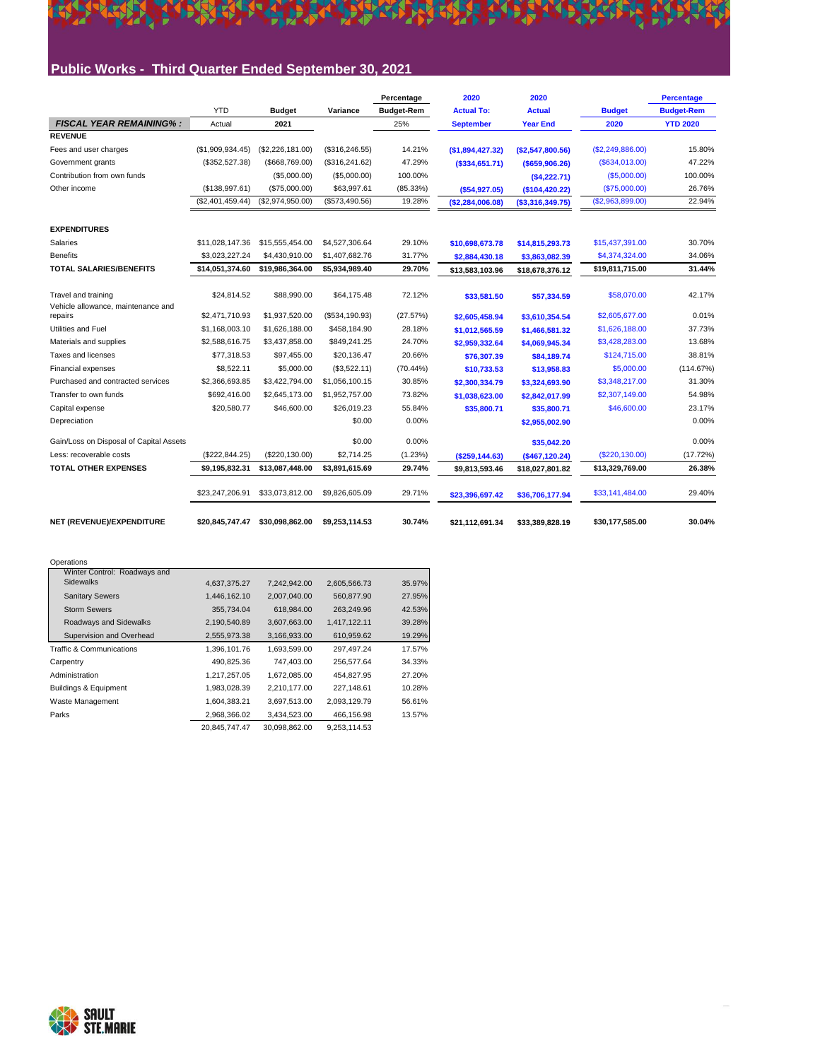### **Public Works - Third Quarter Ended September 30, 2021**

**ARRAIGHT CLEAR** 

不好

K

|                                                           |                  |                  |                 | Percentage        | 2020              | 2020              |                  | <b>Percentage</b> |
|-----------------------------------------------------------|------------------|------------------|-----------------|-------------------|-------------------|-------------------|------------------|-------------------|
|                                                           | <b>YTD</b>       | <b>Budget</b>    | Variance        | <b>Budget-Rem</b> | <b>Actual To:</b> | <b>Actual</b>     | <b>Budget</b>    | <b>Budget-Rem</b> |
| <b>FISCAL YEAR REMAINING%:</b>                            | Actual           | 2021             |                 | 25%               | <b>September</b>  | <b>Year End</b>   | 2020             | <b>YTD 2020</b>   |
| <b>REVENUE</b>                                            |                  |                  |                 |                   |                   |                   |                  |                   |
| Fees and user charges                                     | (S1.909.934.45)  | (\$2,226,181.00) | (\$316, 246.55) | 14.21%            | (\$1,894,427.32)  | (S2, 547, 800.56) | (\$2,249,886.00) | 15.80%            |
| Government grants                                         | (\$352,527.38)   | (\$668,769.00)   | (\$316, 241.62) | 47.29%            | $($ \$334,651.71) | $($ \$659,906.26) | (\$634,013.00)   | 47.22%            |
| Contribution from own funds                               |                  | (\$5,000.00)     | (\$5,000.00)    | 100.00%           |                   | (\$4,222.71)      | (\$5,000.00)     | 100.00%           |
| Other income                                              | (\$138,997.61)   | (\$75,000.00)    | \$63,997.61     | $(85.33\%)$       | ( \$54, 927.05)   | (\$104,420.22)    | (\$75,000.00)    | 26.76%            |
|                                                           | (\$2,401,459.44) | (\$2,974,950.00) | (\$573,490.56)  | 19.28%            | (\$2,284,006.08)  | ( \$3,316,349.75) | (\$2,963,899.00) | 22.94%            |
| <b>EXPENDITURES</b>                                       |                  |                  |                 |                   |                   |                   |                  |                   |
| Salaries                                                  | \$11.028.147.36  | \$15,555,454.00  | \$4,527,306.64  | 29.10%            | \$10,698,673.78   | \$14,815,293.73   | \$15,437,391.00  | 30.70%            |
| <b>Benefits</b>                                           | \$3,023,227.24   | \$4,430,910.00   | \$1,407,682.76  | 31.77%            | \$2,884,430.18    | \$3,863,082.39    | \$4,374,324.00   | 34.06%            |
| <b>TOTAL SALARIES/BENEFITS</b>                            | \$14,051,374.60  | \$19,986,364.00  | \$5,934,989.40  | 29.70%            | \$13,583,103.96   | \$18,678,376.12   | \$19,811,715.00  | 31.44%            |
| Travel and training<br>Vehicle allowance, maintenance and | \$24,814.52      | \$88,990.00      | \$64,175.48     | 72.12%            | \$33,581.50       | \$57,334.59       | \$58,070.00      | 42.17%            |
| repairs                                                   | \$2,471,710.93   | \$1,937,520.00   | (\$534,190.93)  | (27.57%)          | \$2,605,458.94    | \$3,610,354.54    | \$2,605,677.00   | 0.01%             |
| Utilities and Fuel                                        | \$1,168,003.10   | \$1,626,188.00   | \$458,184.90    | 28.18%            | \$1,012,565.59    | \$1,466,581.32    | \$1,626,188.00   | 37.73%            |
| Materials and supplies                                    | \$2,588,616.75   | \$3,437,858.00   | \$849,241.25    | 24.70%            | \$2,959,332.64    | \$4,069,945.34    | \$3,428,283.00   | 13.68%            |
| Taxes and licenses                                        | \$77.318.53      | \$97.455.00      | \$20.136.47     | 20.66%            | \$76,307.39       | \$84,189.74       | \$124,715.00     | 38.81%            |
| <b>Financial expenses</b>                                 | \$8,522.11       | \$5,000.00       | (\$3,522.11)    | $(70.44\%)$       | \$10,733.53       | \$13,958.83       | \$5,000.00       | (114.67%)         |
| Purchased and contracted services                         | \$2,366,693.85   | \$3,422,794.00   | \$1,056,100.15  | 30.85%            | \$2,300,334.79    | \$3,324,693.90    | \$3,348,217.00   | 31.30%            |
| Transfer to own funds                                     | \$692.416.00     | \$2,645,173.00   | \$1,952,757.00  | 73.82%            | \$1,038,623.00    | \$2,842,017.99    | \$2,307,149.00   | 54.98%            |
| Capital expense                                           | \$20,580.77      | \$46,600.00      | \$26,019.23     | 55.84%            | \$35,800.71       | \$35,800.71       | \$46,600.00      | 23.17%            |
| Depreciation                                              |                  |                  | \$0.00          | 0.00%             |                   | \$2,955,002.90    |                  | 0.00%             |
| Gain/Loss on Disposal of Capital Assets                   |                  |                  | \$0.00          | 0.00%             |                   | \$35,042.20       |                  | 0.00%             |
| Less: recoverable costs                                   | (\$222,844.25)   | (\$220,130.00)   | \$2,714.25      | (1.23%)           | ( \$259, 144.63)  | (\$467,120.24)    | (\$220,130.00)   | (17.72%)          |
| <b>TOTAL OTHER EXPENSES</b>                               | \$9,195,832.31   | \$13,087,448.00  | \$3,891,615.69  | 29.74%            | \$9,813,593.46    | \$18,027,801.82   | \$13,329,769.00  | 26.38%            |
|                                                           | \$23,247,206.91  | \$33,073,812.00  | \$9,826,605.09  | 29.71%            | \$23,396,697.42   | \$36,706,177.94   | \$33,141,484.00  | 29.40%            |
| NET (REVENUE)/EXPENDITURE                                 | \$20.845.747.47  | \$30.098.862.00  | \$9.253.114.53  | 30.74%            | \$21.112.691.34   | \$33,389,828.19   | \$30.177.585.00  | 30.04%            |

**TEXASS** 

本经济 法建议决策

**PART** 

| Operations                          |               |               |              |        |
|-------------------------------------|---------------|---------------|--------------|--------|
| Winter Control: Roadways and        |               |               |              |        |
| <b>Sidewalks</b>                    | 4.637.375.27  | 7.242.942.00  | 2.605.566.73 | 35.97% |
| <b>Sanitary Sewers</b>              | 1,446,162.10  | 2,007,040.00  | 560,877.90   | 27.95% |
| <b>Storm Sewers</b>                 | 355,734.04    | 618.984.00    | 263,249.96   | 42.53% |
| Roadways and Sidewalks              | 2,190,540.89  | 3.607.663.00  | 1,417,122.11 | 39.28% |
| Supervision and Overhead            | 2,555,973.38  | 3,166,933.00  | 610,959.62   | 19.29% |
| <b>Traffic &amp; Communications</b> | 1,396,101.76  | 1,693,599.00  | 297,497.24   | 17.57% |
| Carpentry                           | 490.825.36    | 747.403.00    | 256.577.64   | 34.33% |
| Administration                      | 1,217,257.05  | 1,672,085.00  | 454.827.95   | 27.20% |
| Buildings & Equipment               | 1,983,028.39  | 2.210.177.00  | 227.148.61   | 10.28% |
| Waste Management                    | 1,604,383.21  | 3,697,513.00  | 2,093,129.79 | 56.61% |
| Parks                               | 2,968,366.02  | 3,434,523.00  | 466,156.98   | 13.57% |
|                                     | 20.845.747.47 | 30,098,862.00 | 9.253.114.53 |        |

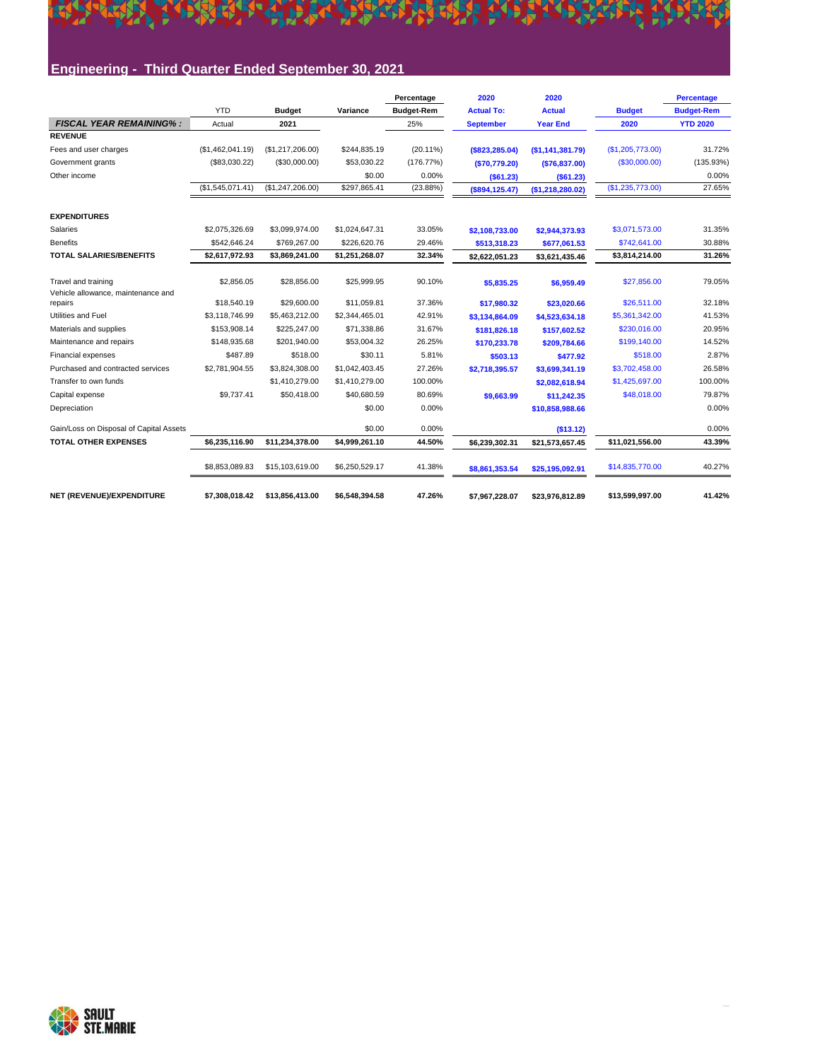# EL PERSONAL EL PORT EL PORT EL PORT EL PORT EL PORT EL

#### **Engineering - Third Quarter Ended September 30, 2021**

|                                               |                  |                  |                | Percentage        | 2020              | 2020             |                  | <b>Percentage</b> |
|-----------------------------------------------|------------------|------------------|----------------|-------------------|-------------------|------------------|------------------|-------------------|
|                                               | <b>YTD</b>       | <b>Budget</b>    | Variance       | <b>Budget-Rem</b> | <b>Actual To:</b> | <b>Actual</b>    | <b>Budget</b>    | <b>Budget-Rem</b> |
| <b>FISCAL YEAR REMAINING%:</b>                | Actual           | 2021             |                | 25%               | <b>September</b>  | <b>Year End</b>  | 2020             | <b>YTD 2020</b>   |
| <b>REVENUE</b>                                |                  |                  |                |                   |                   |                  |                  |                   |
| Fees and user charges                         | (\$1,462,041.19) | (\$1,217,206.00) | \$244,835.19   | $(20.11\%)$       | ( \$823, 285.04)  | (\$1,141,381.79) | (\$1,205,773.00) | 31.72%            |
| Government grants                             | (\$83,030.22)    | (\$30,000.00)    | \$53,030.22    | (176.77%)         | ( \$70, 779.20)   | (\$76,837.00)    | (\$30,000.00)    | (135.93%)         |
| Other income                                  |                  |                  | \$0.00         | 0.00%             | ( \$61.23)        | ( \$61.23)       |                  | 0.00%             |
|                                               | (\$1,545,071.41) | (\$1,247,206.00) | \$297,865.41   | (23.88%)          | $($ \$894,125.47) | (\$1,218,280.02) | (\$1,235,773.00) | 27.65%            |
| <b>EXPENDITURES</b>                           |                  |                  |                |                   |                   |                  |                  |                   |
| Salaries                                      | \$2,075,326.69   | \$3,099,974.00   | \$1,024,647.31 | 33.05%            | \$2,108,733.00    | \$2,944,373.93   | \$3,071,573.00   | 31.35%            |
| <b>Benefits</b>                               | \$542.646.24     | \$769,267.00     | \$226,620.76   | 29.46%            | \$513,318.23      | \$677,061.53     | \$742,641.00     | 30.88%            |
| <b>TOTAL SALARIES/BENEFITS</b>                | \$2,617,972.93   | \$3,869,241.00   | \$1,251,268.07 | 32.34%            | \$2,622,051.23    | \$3,621,435.46   | \$3,814,214.00   | 31.26%            |
| Travel and training                           | \$2,856.05       | \$28,856.00      | \$25,999.95    | 90.10%            | \$5,835.25        | \$6,959.49       | \$27,856.00      | 79.05%            |
| Vehicle allowance, maintenance and<br>repairs | \$18,540.19      | \$29,600.00      | \$11.059.81    | 37.36%            | \$17,980.32       | \$23,020.66      | \$26,511.00      | 32.18%            |
| Utilities and Fuel                            | \$3.118.746.99   | \$5,463,212.00   | \$2,344,465.01 | 42.91%            | \$3,134,864.09    | \$4,523,634.18   | \$5,361,342.00   | 41.53%            |
| Materials and supplies                        | \$153,908.14     | \$225,247.00     | \$71.338.86    | 31.67%            | \$181.826.18      | \$157.602.52     | \$230,016.00     | 20.95%            |
| Maintenance and repairs                       | \$148,935.68     | \$201,940.00     | \$53,004.32    | 26.25%            | \$170,233.78      | \$209.784.66     | \$199,140.00     | 14.52%            |
| Financial expenses                            | \$487.89         | \$518.00         | \$30.11        | 5.81%             | \$503.13          | \$477.92         | \$518.00         | 2.87%             |
| Purchased and contracted services             | \$2,781,904.55   | \$3,824,308.00   | \$1,042,403.45 | 27.26%            | \$2,718,395.57    | \$3.699.341.19   | \$3,702,458.00   | 26.58%            |
| Transfer to own funds                         |                  | \$1,410,279.00   | \$1,410,279.00 | 100.00%           |                   | \$2,082,618.94   | \$1,425,697.00   | 100.00%           |
| Capital expense                               | \$9,737.41       | \$50,418.00      | \$40,680.59    | 80.69%            | \$9,663.99        | \$11,242.35      | \$48,018.00      | 79.87%            |
| Depreciation                                  |                  |                  | \$0.00         | 0.00%             |                   | \$10,858,988.66  |                  | 0.00%             |
| Gain/Loss on Disposal of Capital Assets       |                  |                  | \$0.00         | 0.00%             |                   | ( \$13.12)       |                  | 0.00%             |
| <b>TOTAL OTHER EXPENSES</b>                   | \$6.235.116.90   | \$11,234,378.00  | \$4,999,261.10 | 44.50%            | \$6,239,302.31    | \$21,573,657.45  | \$11,021,556.00  | 43.39%            |
|                                               | \$8,853,089.83   | \$15,103,619.00  | \$6,250,529.17 | 41.38%            | \$8,861,353.54    | \$25,195,092.91  | \$14,835,770.00  | 40.27%            |
| NET (REVENUE)/EXPENDITURE                     | \$7.308.018.42   | \$13.856.413.00  | \$6.548.394.58 | 47.26%            | \$7.967.228.07    | \$23.976.812.89  | \$13,599,997.00  | 41.42%            |

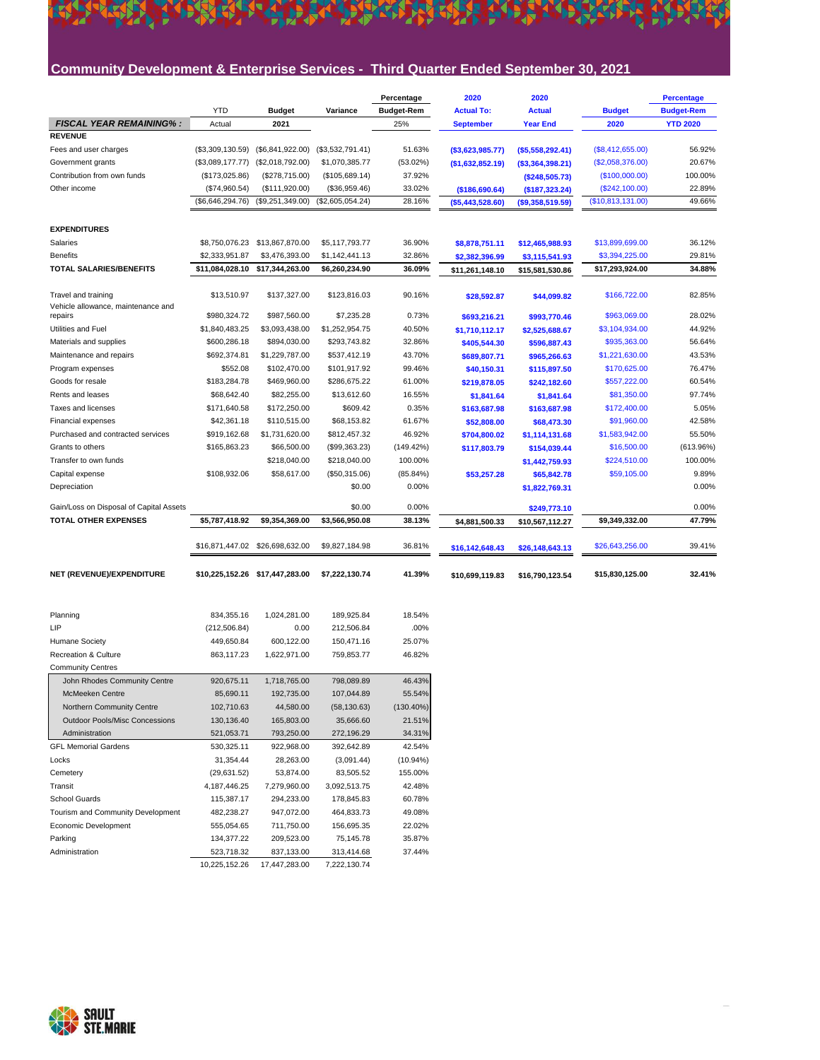#### **Community Development & Enterprise Services - Third Quarter Ended September 30, 2021**

LEEL LINE CAN CLEAR PARTIES OF THE SALE

K

|                                                           |                  |                                 |                  | Percentage        | 2020              | 2020              |                   | <b>Percentage</b> |
|-----------------------------------------------------------|------------------|---------------------------------|------------------|-------------------|-------------------|-------------------|-------------------|-------------------|
|                                                           | <b>YTD</b>       | <b>Budget</b>                   | Variance         | <b>Budget-Rem</b> | <b>Actual To:</b> | <b>Actual</b>     | <b>Budget</b>     | <b>Budget-Rem</b> |
| <b>FISCAL YEAR REMAINING%:</b>                            | Actual           | 2021                            |                  | 25%               | <b>September</b>  | <b>Year End</b>   | 2020              | <b>YTD 2020</b>   |
| <b>REVENUE</b>                                            |                  |                                 |                  |                   |                   |                   |                   |                   |
| Fees and user charges                                     | (\$3,309,130.59) | (\$6,841,922.00)                | (\$3,532,791.41) | 51.63%            | ( \$3,623,985.77) | ( \$5,558,292.41) | (\$8,412,655.00)  | 56.92%            |
| Government grants                                         | (\$3,089,177.77) | (\$2,018,792.00)                | \$1,070,385.77   | (53.02%)          | (\$1,632,852.19)  | ( \$3,364,398.21) | (\$2,058,376.00)  | 20.67%            |
| Contribution from own funds                               | (\$173,025.86)   | (\$278,715.00)                  | (\$105,689.14)   | 37.92%            |                   | (\$248,505.73)    | (\$100,000.00)    | 100.00%           |
| Other income                                              | (\$74,960.54)    | (\$111,920.00)                  | (\$36,959.46)    | 33.02%            | (\$186,690.64)    | (\$187,323.24)    | (\$242,100.00)    | 22.89%            |
|                                                           | (\$6,646,294.76) | (\$9,251,349.00)                | (\$2,605,054.24) | 28.16%            | ( \$5,443,528.60) | ( \$9,358,519.59) | (\$10,813,131.00) | 49.66%            |
| <b>EXPENDITURES</b>                                       |                  |                                 |                  |                   |                   |                   |                   |                   |
| Salaries                                                  | \$8,750,076.23   | \$13,867,870.00                 | \$5,117,793.77   | 36.90%            | \$8,878,751.11    | \$12,465,988.93   | \$13,899,699.00   | 36.12%            |
| <b>Benefits</b>                                           | \$2,333,951.87   | \$3,476,393.00                  | \$1,142,441.13   | 32.86%            | \$2,382,396.99    | \$3,115,541.93    | \$3,394,225.00    | 29.81%            |
| <b>TOTAL SALARIES/BENEFITS</b>                            | \$11,084,028.10  | \$17,344,263.00                 | \$6,260,234.90   | 36.09%            | \$11,261,148.10   | \$15,581,530.86   | \$17,293,924.00   | 34.88%            |
|                                                           |                  |                                 |                  |                   |                   |                   |                   |                   |
| Travel and training<br>Vehicle allowance, maintenance and | \$13,510.97      | \$137,327.00                    | \$123,816.03     | 90.16%            | \$28,592.87       | \$44,099.82       | \$166,722.00      | 82.85%            |
| repairs                                                   | \$980,324.72     | \$987,560.00                    | \$7,235.28       | 0.73%             | \$693,216.21      | \$993,770.46      | \$963,069.00      | 28.02%            |
| Utilities and Fuel                                        | \$1,840,483.25   | \$3,093,438.00                  | \$1,252,954.75   | 40.50%            | \$1,710,112.17    | \$2,525,688.67    | \$3,104,934.00    | 44.92%            |
| Materials and supplies                                    | \$600,286.18     | \$894,030.00                    | \$293,743.82     | 32.86%            | \$405,544.30      | \$596,887.43      | \$935,363.00      | 56.64%            |
| Maintenance and repairs                                   | \$692,374.81     | \$1,229,787.00                  | \$537,412.19     | 43.70%            | \$689,807.71      | \$965,266.63      | \$1,221,630.00    | 43.53%            |
| Program expenses                                          | \$552.08         | \$102,470.00                    | \$101,917.92     | 99.46%            | \$40,150.31       | \$115,897.50      | \$170,625.00      | 76.47%            |
| Goods for resale                                          | \$183,284.78     | \$469,960.00                    | \$286,675.22     | 61.00%            | \$219,878.05      | \$242,182.60      | \$557,222.00      | 60.54%            |
| Rents and leases                                          | \$68,642.40      | \$82,255.00                     | \$13,612.60      | 16.55%            | \$1,841.64        | \$1,841.64        | \$81,350.00       | 97.74%            |
| Taxes and licenses                                        | \$171,640.58     | \$172,250.00                    | \$609.42         | 0.35%             | \$163,687.98      | \$163,687.98      | \$172,400.00      | 5.05%             |
| Financial expenses                                        | \$42,361.18      | \$110,515.00                    | \$68,153.82      | 61.67%            | \$52,808.00       | \$68,473.30       | \$91,960.00       | 42.58%            |
| Purchased and contracted services                         | \$919,162.68     | \$1,731,620.00                  | \$812,457.32     | 46.92%            | \$704,800.02      | \$1,114,131.68    | \$1,583,942.00    | 55.50%            |
| Grants to others                                          | \$165,863.23     | \$66,500.00                     | (\$99,363.23)    | (149.42%)         | \$117,803.79      | \$154,039.44      | \$16,500.00       | (613.96%)         |
| Transfer to own funds                                     |                  | \$218,040.00                    | \$218,040.00     | 100.00%           |                   | \$1,442,759.93    | \$224,510.00      | 100.00%           |
| Capital expense                                           | \$108,932.06     | \$58,617.00                     | (\$50,315.06)    | (85.84%)          | \$53,257.28       | \$65,842.78       | \$59,105.00       | 9.89%             |
| Depreciation                                              |                  |                                 | \$0.00           | 0.00%             |                   | \$1,822,769.31    |                   | 0.00%             |
| Gain/Loss on Disposal of Capital Assets                   |                  |                                 | \$0.00           | 0.00%             |                   | \$249,773.10      |                   | 0.00%             |
| <b>TOTAL OTHER EXPENSES</b>                               | \$5,787,418.92   | \$9,354,369.00                  | \$3,566,950.08   | 38.13%            | \$4,881,500.33    | \$10,567,112.27   | \$9,349,332.00    | 47.79%            |
|                                                           | \$16,871,447.02  | \$26,698,632.00                 | \$9,827,184.98   | 36.81%            | \$16,142,648.43   | \$26,148,643.13   | \$26,643,256.00   | 39.41%            |
| NET (REVENUE)/EXPENDITURE                                 |                  | \$10,225,152.26 \$17,447,283.00 | \$7,222,130.74   | 41.39%            | \$10,699,119.83   | \$16,790,123.54   | \$15,830,125.00   | 32.41%            |
|                                                           |                  |                                 |                  |                   |                   |                   |                   |                   |
| Planning                                                  | 834,355.16       | 1,024,281.00                    | 189,925.84       | 18.54%            |                   |                   |                   |                   |
| LIP                                                       | (212, 506.84)    | 0.00                            | 212,506.84       | .00%              |                   |                   |                   |                   |
| Humane Society                                            | 449,650.84       | 600,122.00                      | 150,471.16       | 25.07%            |                   |                   |                   |                   |
| Recreation & Culture                                      | 863,117.23       | 1,622,971.00                    | 759,853.77       | 46.82%            |                   |                   |                   |                   |
| <b>Community Centres</b>                                  |                  |                                 |                  |                   |                   |                   |                   |                   |
| John Rhodes Community Centre                              | 920,675.11       | 1,718,765.00                    | 798,089.89       | 46.43%            |                   |                   |                   |                   |
| <b>McMeeken Centre</b>                                    | 85,690.11        | 192,735.00                      | 107,044.89       | 55.54%            |                   |                   |                   |                   |
| Northern Community Centre                                 | 102,710.63       | 44,580.00                       | (58, 130.63)     | $(130.40\%)$      |                   |                   |                   |                   |
| <b>Outdoor Pools/Misc Concessions</b>                     | 130,136.40       | 165,803.00                      | 35,666.60        | 21.51%            |                   |                   |                   |                   |
| Administration                                            | 521,053.71       | 793,250.00                      | 272,196.29       | 34.31%            |                   |                   |                   |                   |
| <b>GFL Memorial Gardens</b>                               | 530,325.11       | 922,968.00                      | 392,642.89       | 42.54%            |                   |                   |                   |                   |
| Locks                                                     | 31,354.44        | 28,263.00                       | (3,091.44)       | $(10.94\%)$       |                   |                   |                   |                   |
| Cemetery                                                  | (29, 631.52)     | 53,874.00                       | 83,505.52        | 155.00%           |                   |                   |                   |                   |
| Transit                                                   | 4, 187, 446. 25  | 7,279,960.00                    | 3,092,513.75     | 42.48%            |                   |                   |                   |                   |
| School Guards                                             | 115,387.17       | 294,233.00                      | 178,845.83       | 60.78%            |                   |                   |                   |                   |
| Tourism and Community Development                         | 482,238.27       | 947,072.00                      | 464,833.73       | 49.08%            |                   |                   |                   |                   |
| Economic Development                                      | 555,054.65       | 711,750.00                      | 156,695.35       | 22.02%            |                   |                   |                   |                   |
| Parking                                                   | 134,377.22       | 209,523.00                      | 75,145.78        | 35.87%            |                   |                   |                   |                   |
| Administration                                            | 523,718.32       | 837,133.00                      | 313,414.68       | 37.44%            |                   |                   |                   |                   |

10,225,152.26 17,447,283.00 7,222,130.74

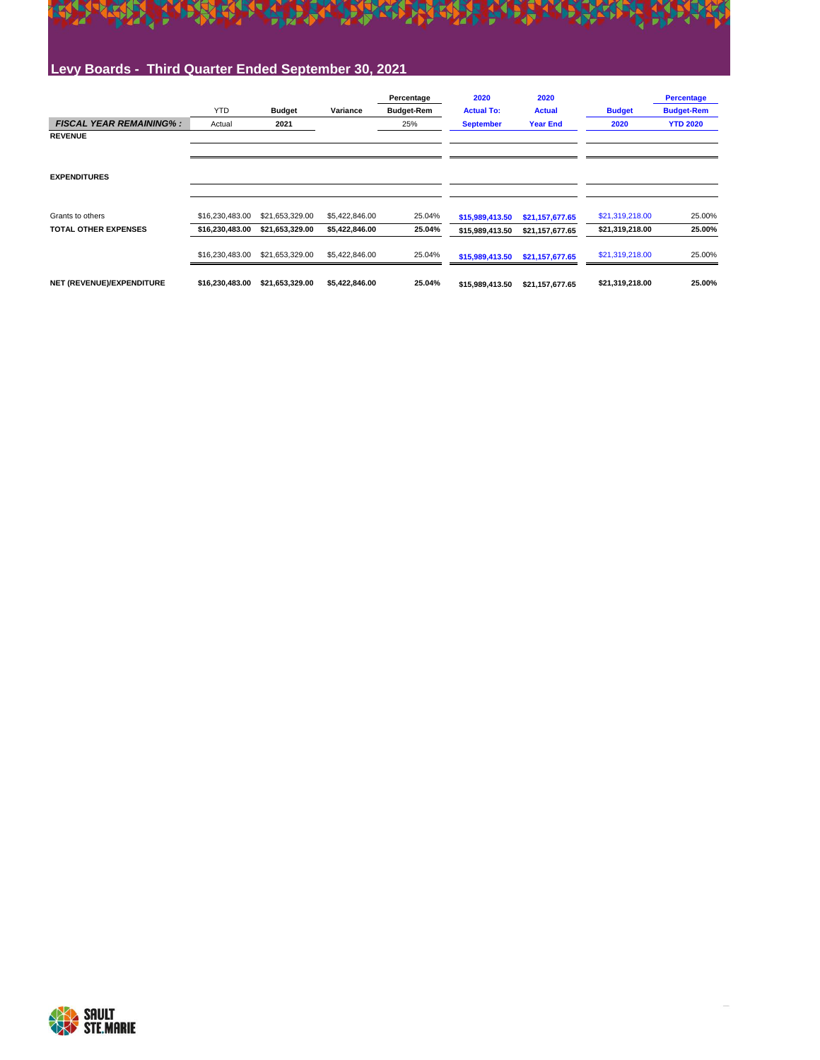

#### **Levy Boards - Third Quarter Ended September 30, 2021**

|                                | <b>YTD</b>      | <b>Budget</b>   | Variance       | Percentage<br><b>Budget-Rem</b> | 2020<br><b>Actual To:</b> | 2020<br><b>Actual</b> | <b>Budget</b>   | <b>Percentage</b><br><b>Budget-Rem</b> |
|--------------------------------|-----------------|-----------------|----------------|---------------------------------|---------------------------|-----------------------|-----------------|----------------------------------------|
| <b>FISCAL YEAR REMAINING%:</b> | Actual          | 2021            |                | 25%                             | <b>September</b>          | <b>Year End</b>       | 2020            | <b>YTD 2020</b>                        |
| <b>REVENUE</b>                 |                 |                 |                |                                 |                           |                       |                 |                                        |
|                                |                 |                 |                |                                 |                           |                       |                 |                                        |
|                                |                 |                 |                |                                 |                           |                       |                 |                                        |
| <b>EXPENDITURES</b>            |                 |                 |                |                                 |                           |                       |                 |                                        |
|                                |                 |                 |                |                                 |                           |                       |                 |                                        |
| Grants to others               | \$16,230,483.00 | \$21,653,329.00 | \$5,422,846.00 | 25.04%                          | \$15,989,413.50           | \$21,157,677.65       | \$21,319,218.00 | 25.00%                                 |
| <b>TOTAL OTHER EXPENSES</b>    | \$16,230,483.00 | \$21,653,329.00 | \$5,422,846.00 | 25.04%                          | \$15,989,413.50           | \$21,157,677.65       | \$21,319,218.00 | 25.00%                                 |
|                                | \$16,230,483.00 | \$21,653,329.00 | \$5,422,846.00 | 25.04%                          | \$15,989,413.50           | \$21,157,677.65       | \$21,319,218.00 | 25.00%                                 |
| NET (REVENUE)/EXPENDITURE      | \$16,230,483.00 | \$21,653,329.00 | \$5,422,846.00 | 25.04%                          | \$15,989,413.50           | \$21,157,677.65       | \$21,319,218.00 | 25.00%                                 |

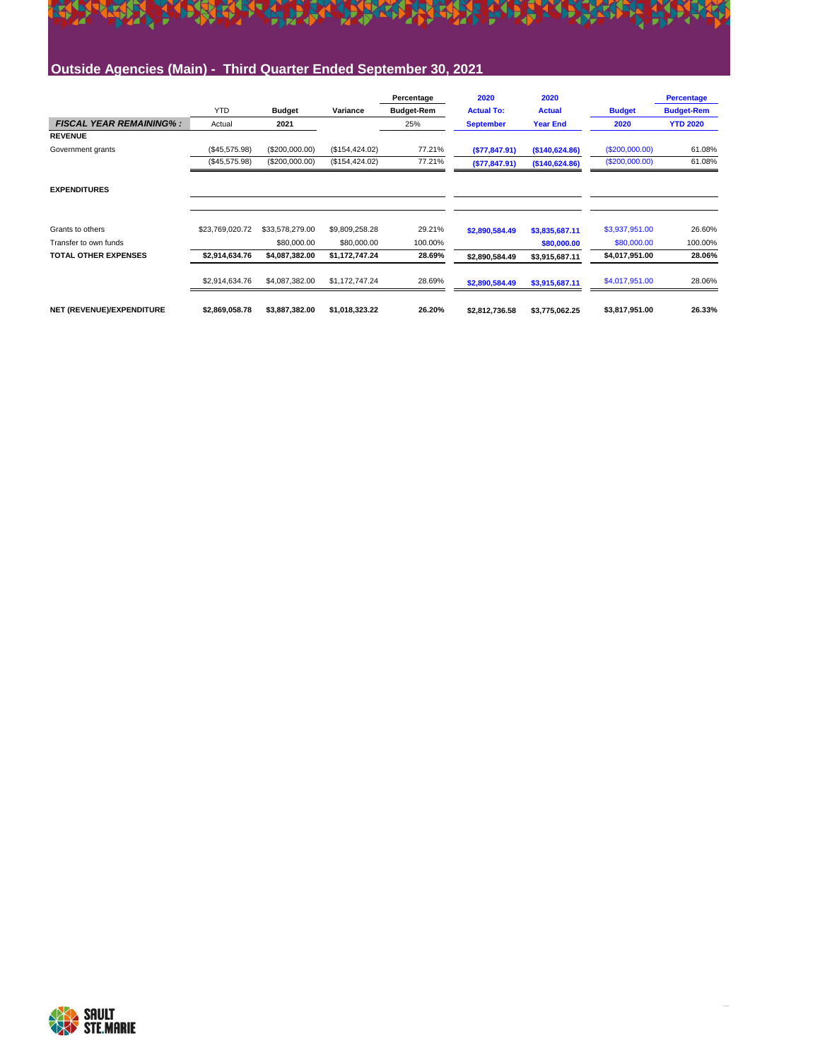# EL PERSONAL EL PORT EL PORT EL PORT EL PORT EL PORT EL

#### **Outside Agencies (Main) - Third Quarter Ended September 30, 2021**

|                                |                 |                 |                 | Percentage        | 2020              | 2020            |                | <b>Percentage</b> |
|--------------------------------|-----------------|-----------------|-----------------|-------------------|-------------------|-----------------|----------------|-------------------|
|                                | <b>YTD</b>      | <b>Budget</b>   | Variance        | <b>Budget-Rem</b> | <b>Actual To:</b> | <b>Actual</b>   | <b>Budget</b>  | <b>Budget-Rem</b> |
| <b>FISCAL YEAR REMAINING%:</b> | Actual          | 2021            |                 | 25%               | <b>September</b>  | <b>Year End</b> | 2020           | <b>YTD 2020</b>   |
| <b>REVENUE</b>                 |                 |                 |                 |                   |                   |                 |                |                   |
| Government grants              | (\$45,575.98)   | (\$200,000.00)  | (\$154, 424.02) | 77.21%            | ( \$77, 847.91)   | (\$140,624.86)  | (S200,000.00)  | 61.08%            |
|                                | (\$45,575.98)   | (\$200,000.00)  | (\$154, 424.02) | 77.21%            | ( \$77, 847.91)   | (\$140,624.86)  | (\$200,000.00) | 61.08%            |
| <b>EXPENDITURES</b>            |                 |                 |                 |                   |                   |                 |                |                   |
| Grants to others               | \$23,769,020.72 | \$33,578,279.00 | \$9,809,258.28  | 29.21%            | \$2,890,584.49    | \$3,835,687.11  | \$3,937,951.00 | 26.60%            |
| Transfer to own funds          |                 | \$80,000,00     | \$80,000,00     | 100.00%           |                   | \$80,000.00     | \$80,000.00    | 100.00%           |
| <b>TOTAL OTHER EXPENSES</b>    | \$2,914,634.76  | \$4,087,382.00  | \$1,172,747.24  | 28.69%            | \$2.890.584.49    | \$3,915,687.11  | \$4,017,951.00 | 28.06%            |
|                                | \$2,914,634.76  | \$4,087,382.00  | \$1,172,747.24  | 28.69%            | \$2,890,584.49    | \$3,915,687.11  | \$4,017,951.00 | 28.06%            |
| NET (REVENUE)/EXPENDITURE      | \$2,869,058.78  | \$3,887,382.00  | \$1,018,323.22  | 26.20%            | \$2,812,736.58    | \$3,775,062.25  | \$3,817,951.00 | 26.33%            |

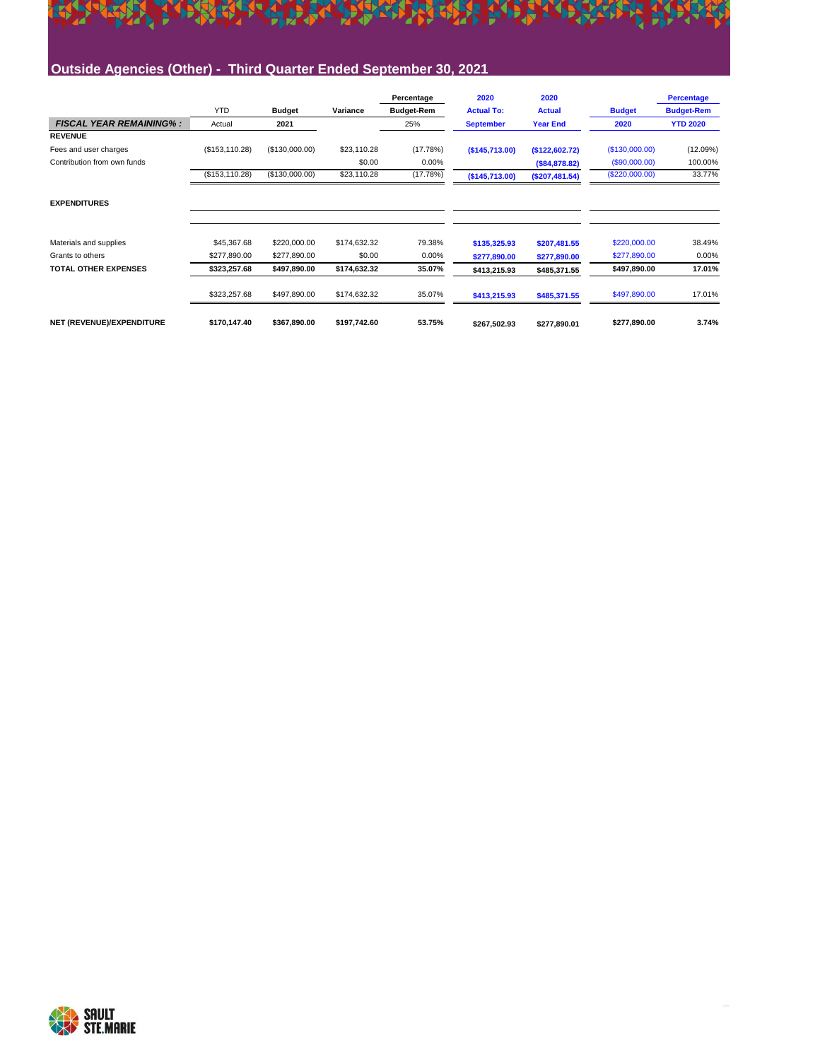## EL PERSONAL EL PORT EL PORT EL PORT EL PORT EL PORT EL **Outside Agencies (Other) - Third Quarter Ended September 30, 2021**

|                                |                 |                |              | Percentage        | 2020              | 2020            |                | <b>Percentage</b> |
|--------------------------------|-----------------|----------------|--------------|-------------------|-------------------|-----------------|----------------|-------------------|
|                                | <b>YTD</b>      | <b>Budget</b>  | Variance     | <b>Budget-Rem</b> | <b>Actual To:</b> | <b>Actual</b>   | <b>Budget</b>  | <b>Budget-Rem</b> |
| <b>FISCAL YEAR REMAINING%:</b> | Actual          | 2021           |              | 25%               | <b>September</b>  | <b>Year End</b> | 2020           | <b>YTD 2020</b>   |
| <b>REVENUE</b>                 |                 |                |              |                   |                   |                 |                |                   |
| Fees and user charges          | (\$153, 110.28) | (\$130,000.00) | \$23,110.28  | (17.78%)          | (S145, 713.00)    | (\$122,602.72)  | (\$130,000.00) | (12.09%)          |
| Contribution from own funds    |                 |                | \$0.00       | $0.00\%$          |                   | (S84, 878.82)   | (\$90,000.00)  | 100.00%           |
|                                | (\$153, 110.28) | (\$130,000.00) | \$23,110.28  | (17.78%)          | (\$145,713.00)    | (\$207,481.54)  | (\$220,000.00) | 33.77%            |
| <b>EXPENDITURES</b>            |                 |                |              |                   |                   |                 |                |                   |
| Materials and supplies         | \$45,367.68     | \$220,000.00   | \$174,632.32 | 79.38%            | \$135,325.93      | \$207,481.55    | \$220,000.00   | 38.49%            |
| Grants to others               | \$277,890.00    | \$277,890.00   | \$0.00       | 0.00%             | \$277,890.00      | \$277,890.00    | \$277,890.00   | 0.00%             |
| <b>TOTAL OTHER EXPENSES</b>    | \$323,257.68    | \$497,890.00   | \$174,632.32 | 35.07%            | \$413,215.93      | \$485,371.55    | \$497,890.00   | 17.01%            |
|                                | \$323,257.68    | \$497,890.00   | \$174,632.32 | 35.07%            | \$413,215.93      | \$485,371.55    | \$497,890.00   | 17.01%            |
| NET (REVENUE)/EXPENDITURE      | \$170,147.40    | \$367,890.00   | \$197,742.60 | 53.75%            | \$267.502.93      | \$277.890.01    | \$277,890.00   | 3.74%             |

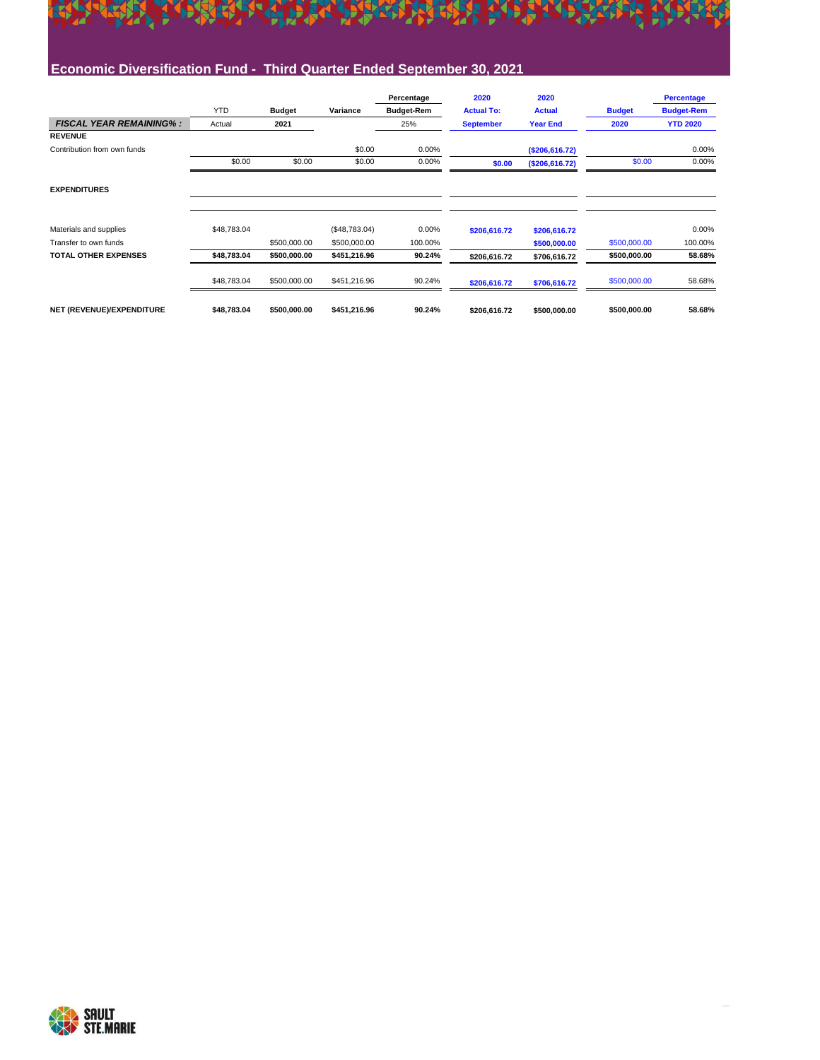## EL PERSONAL EL PORT EL PORT EL PORT EL PORT EL PORT EL **Economic Diversification Fund - Third Quarter Ended September 30, 2021**

|                                |             |               |               | Percentage        | 2020              | 2020            |               | <b>Percentage</b> |
|--------------------------------|-------------|---------------|---------------|-------------------|-------------------|-----------------|---------------|-------------------|
|                                | <b>YTD</b>  | <b>Budget</b> | Variance      | <b>Budget-Rem</b> | <b>Actual To:</b> | <b>Actual</b>   | <b>Budget</b> | <b>Budget-Rem</b> |
| <b>FISCAL YEAR REMAINING%:</b> | Actual      | 2021          |               | 25%               | <b>September</b>  | <b>Year End</b> | 2020          | <b>YTD 2020</b>   |
| <b>REVENUE</b>                 |             |               |               |                   |                   |                 |               |                   |
| Contribution from own funds    |             |               | \$0.00        | 0.00%             |                   | (S206, 616.72)  |               | 0.00%             |
|                                | \$0.00      | \$0.00        | \$0.00        | 0.00%             | \$0.00            | (\$206,616.72)  | \$0.00        | 0.00%             |
| <b>EXPENDITURES</b>            |             |               |               |                   |                   |                 |               |                   |
| Materials and supplies         | \$48,783.04 |               | (\$48,783.04) | 0.00%             | \$206,616.72      | \$206,616.72    |               | 0.00%             |
| Transfer to own funds          |             | \$500,000.00  | \$500,000.00  | 100.00%           |                   | \$500,000.00    | \$500,000.00  | 100.00%           |
| <b>TOTAL OTHER EXPENSES</b>    | \$48,783.04 | \$500,000.00  | \$451,216.96  | 90.24%            | \$206,616.72      | \$706,616.72    | \$500,000.00  | 58.68%            |
|                                | \$48,783.04 | \$500,000.00  | \$451,216.96  | 90.24%            | \$206,616.72      | \$706,616.72    | \$500,000.00  | 58.68%            |
| NET (REVENUE)/EXPENDITURE      | \$48,783.04 | \$500,000.00  | \$451,216.96  | 90.24%            | \$206,616.72      | \$500,000.00    | \$500,000.00  | 58.68%            |

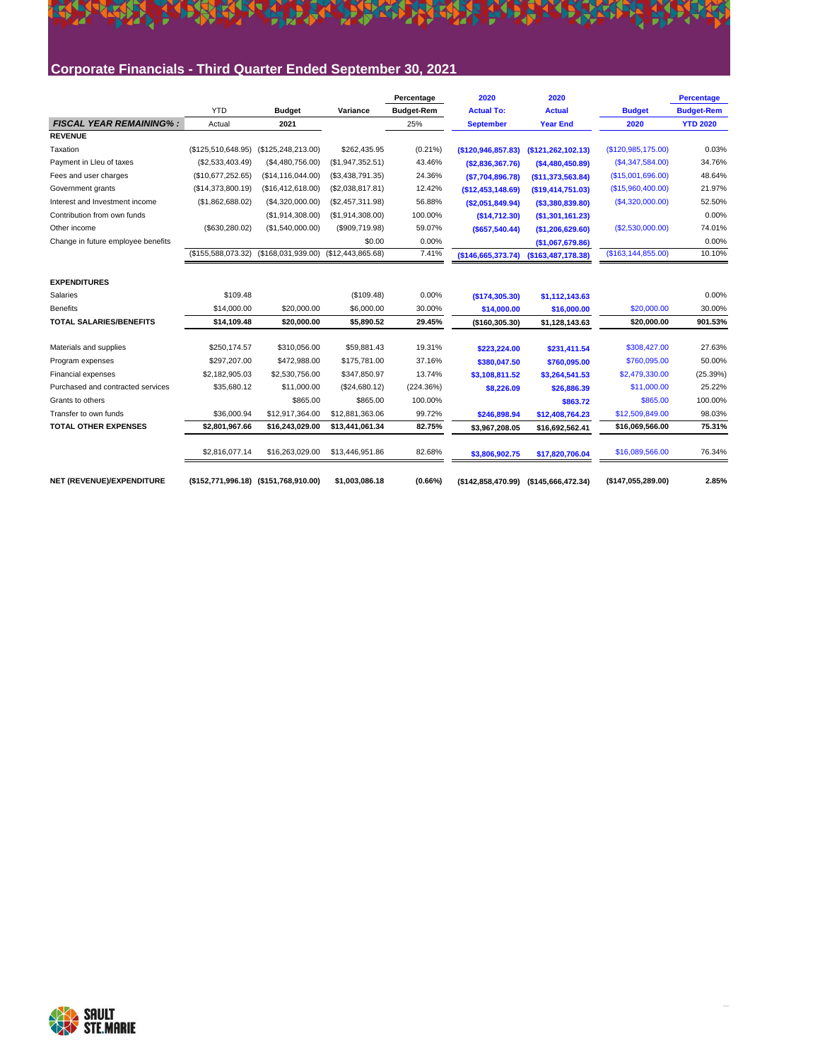#### **Corporate Financials - Third Quarter Ended September 30, 2021**

**KY** 

|                                    |                                       |                                      |                  | Percentage        | 2020               | 2020               |                      | <b>Percentage</b> |
|------------------------------------|---------------------------------------|--------------------------------------|------------------|-------------------|--------------------|--------------------|----------------------|-------------------|
|                                    | <b>YTD</b>                            | <b>Budget</b>                        | Variance         | <b>Budget-Rem</b> | <b>Actual To:</b>  | <b>Actual</b>      | <b>Budget</b>        | <b>Budget-Rem</b> |
| <b>FISCAL YEAR REMAINING%:</b>     | Actual                                | 2021                                 |                  | 25%               | <b>September</b>   | <b>Year End</b>    | 2020                 | <b>YTD 2020</b>   |
| <b>REVENUE</b>                     |                                       |                                      |                  |                   |                    |                    |                      |                   |
| Taxation                           | (\$125,510,648.95)                    | (\$125,248,213.00)                   | \$262,435.95     | $(0.21\%)$        | (\$120,946,857.83) | (\$121,262,102.13) | (\$120,985,175.00)   | 0.03%             |
| Payment in Lleu of taxes           | (\$2,533,403.49)                      | (\$4,480,756.00)                     | (\$1,947,352.51) | 43.46%            | (\$2,836,367.76)   | (\$4,480,450.89)   | (S4, 347, 584.00)    | 34.76%            |
| Fees and user charges              | (\$10,677,252.65)                     | (\$14,116,044.00)                    | (\$3,438,791.35) | 24.36%            | ( \$7,704,896.78)  | (\$11,373,563.84)  | (\$15,001,696.00)    | 48.64%            |
| Government grants                  | (\$14,373,800.19)                     | (\$16,412,618.00)                    | (\$2,038,817.81) | 12.42%            | (\$12,453,148.69)  | (S19, 414, 751.03) | (\$15,960,400.00)    | 21.97%            |
| Interest and Investment income     | (\$1,862,688.02)                      | (\$4,320,000.00)                     | (\$2,457,311.98) | 56.88%            | (\$2,051,849.94)   | ( \$3,380,839.80)  | (S4, 320, 000.00)    | 52.50%            |
| Contribution from own funds        |                                       | (\$1,914,308.00)                     | (\$1,914,308.00) | 100.00%           | (\$14,712.30)      | (\$1,301,161.23)   |                      | 0.00%             |
| Other income                       | (\$630,280.02)                        | (\$1,540,000.00)                     | (\$909,719.98)   | 59.07%            | $($ \$657,540.44)  | (\$1,206,629.60)   | (\$2,530,000.00)     | 74.01%            |
| Change in future employee benefits |                                       |                                      | \$0.00           | 0.00%             |                    | (\$1,067,679.86)   |                      | 0.00%             |
|                                    | (\$155,588,073.32)                    | (\$168,031,939.00) (\$12,443,865.68) |                  | 7.41%             | (\$146,665,373.74) | (\$163,487,178.38) | (\$163, 144, 855.00) | 10.10%            |
|                                    |                                       |                                      |                  |                   |                    |                    |                      |                   |
| <b>EXPENDITURES</b>                |                                       |                                      |                  |                   |                    |                    |                      |                   |
| Salaries                           | \$109.48                              |                                      | (\$109.48)       | 0.00%             | (\$174,305.30)     | \$1,112,143.63     |                      | 0.00%             |
| <b>Benefits</b>                    | \$14,000.00                           | \$20,000.00                          | \$6,000.00       | 30.00%            | \$14,000.00        | \$16,000.00        | \$20,000.00          | 30.00%            |
| <b>TOTAL SALARIES/BENEFITS</b>     | \$14,109.48                           | \$20,000.00                          | \$5,890.52       | 29.45%            | (\$160,305.30)     | \$1,128,143.63     | \$20,000.00          | 901.53%           |
| Materials and supplies             | \$250,174.57                          | \$310,056.00                         | \$59,881.43      | 19.31%            | \$223,224.00       | \$231,411.54       | \$308,427.00         | 27.63%            |
| Program expenses                   | \$297,207.00                          | \$472,988.00                         | \$175,781.00     | 37.16%            | \$380,047.50       | \$760,095.00       | \$760,095.00         | 50.00%            |
| Financial expenses                 | \$2,182,905.03                        | \$2,530,756.00                       | \$347,850.97     | 13.74%            | \$3,108,811.52     | \$3,264,541.53     | \$2,479,330.00       | (25.39%)          |
| Purchased and contracted services  | \$35,680.12                           | \$11,000.00                          | (\$24,680.12)    | (224.36%)         | \$8,226.09         | \$26,886.39        | \$11,000.00          | 25.22%            |
| Grants to others                   |                                       | \$865.00                             | \$865.00         | 100.00%           |                    | \$863.72           | \$865.00             | 100.00%           |
| Transfer to own funds              | \$36,000.94                           | \$12,917,364.00                      | \$12,881,363.06  | 99.72%            | \$246,898.94       | \$12,408,764.23    | \$12,509,849.00      | 98.03%            |
| <b>TOTAL OTHER EXPENSES</b>        | \$2,801,967.66                        | \$16,243,029.00                      | \$13,441,061.34  | 82.75%            | \$3,967,208.05     | \$16,692,562.41    | \$16,069,566.00      | 75.31%            |
|                                    | \$2,816,077.14                        | \$16,263,029.00                      | \$13,446,951.86  | 82.68%            | \$3,806,902.75     | \$17,820,706.04    | \$16,089,566.00      | 76.34%            |
| NET (REVENUE)/EXPENDITURE          | (\$152,771,996.18) (\$151,768,910.00) |                                      | \$1,003,086.18   | (0.66%)           | (\$142,858,470.99) | (\$145,666,472.34) | (\$147,055,289.00)   | 2.85%             |

A TERMINAL TERMINAL PROPERTY AND TERMINAL CONTRA